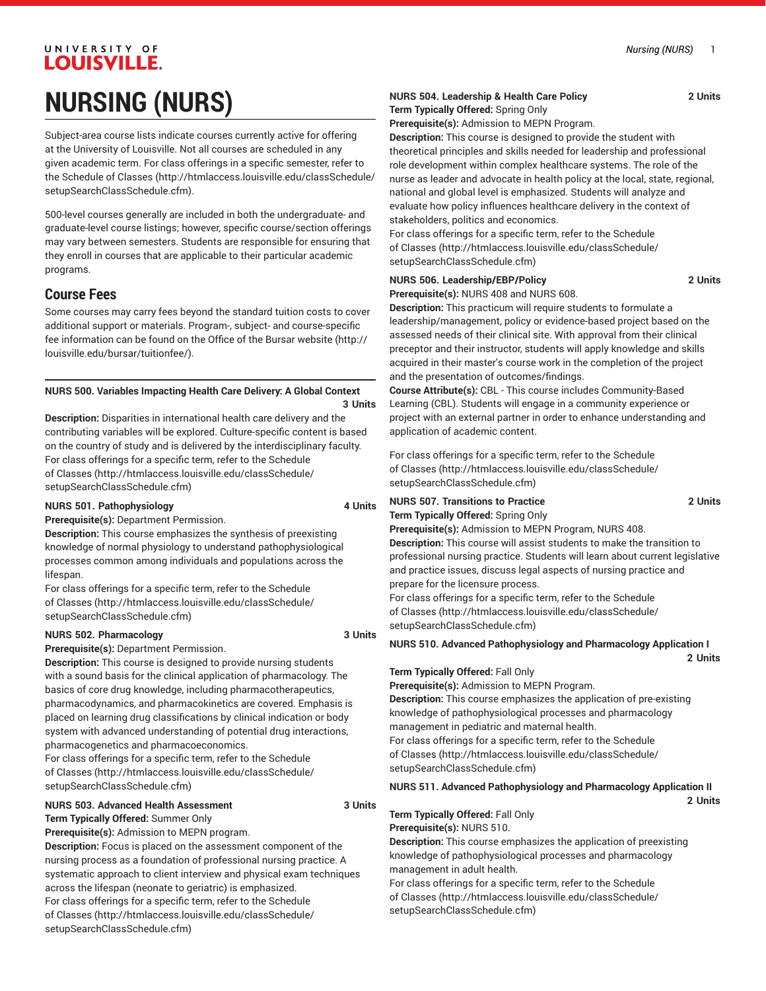# UNIVERSITY OF **LOUISVILLE. NURSING (NURS)**

Subject-area course lists indicate courses currently active for offering at the University of Louisville. Not all courses are scheduled in any given academic term. For class offerings in a specific semester, refer to the [Schedule of Classes](http://htmlaccess.louisville.edu/classSchedule/setupSearchClassSchedule.cfm) ([http://htmlaccess.louisville.edu/classSchedule/](http://htmlaccess.louisville.edu/classSchedule/setupSearchClassSchedule.cfm) [setupSearchClassSchedule.cfm\)](http://htmlaccess.louisville.edu/classSchedule/setupSearchClassSchedule.cfm).

500-level courses generally are included in both the undergraduate- and graduate-level course listings; however, specific course/section offerings may vary between semesters. Students are responsible for ensuring that they enroll in courses that are applicable to their particular academic programs.

## **Course Fees**

Some courses may carry fees beyond the standard tuition costs to cover additional support or materials. Program-, subject- and course-specific fee information can be found on the [Office of the Bursar website](http://louisville.edu/bursar/tuitionfee/) ([http://](http://louisville.edu/bursar/tuitionfee/) [louisville.edu/bursar/tuitionfee/](http://louisville.edu/bursar/tuitionfee/)).

## **NURS 500. Variables Impacting Health Care Delivery: A Global Context**

**3 Units Description:** Disparities in international health care delivery and the contributing variables will be explored. Culture-specific content is based on the country of study and is delivered by the interdisciplinary faculty. For class offerings for a specific term, refer to the [Schedule](http://htmlaccess.louisville.edu/classSchedule/setupSearchClassSchedule.cfm) [of Classes \(http://htmlaccess.louisville.edu/classSchedule/](http://htmlaccess.louisville.edu/classSchedule/setupSearchClassSchedule.cfm)

## **NURS 501. Pathophysiology 4 Units**

[setupSearchClassSchedule.cfm\)](http://htmlaccess.louisville.edu/classSchedule/setupSearchClassSchedule.cfm)

**Prerequisite(s):** Department Permission.

**Description:** This course emphasizes the synthesis of preexisting knowledge of normal physiology to understand pathophysiological processes common among individuals and populations across the lifespan.

For class offerings for a specific term, refer to the [Schedule](http://htmlaccess.louisville.edu/classSchedule/setupSearchClassSchedule.cfm) [of Classes \(http://htmlaccess.louisville.edu/classSchedule/](http://htmlaccess.louisville.edu/classSchedule/setupSearchClassSchedule.cfm) [setupSearchClassSchedule.cfm\)](http://htmlaccess.louisville.edu/classSchedule/setupSearchClassSchedule.cfm)

#### **NURS 502. Pharmacology 3 Units**

**Prerequisite(s):** Department Permission.

**Description:** This course is designed to provide nursing students with a sound basis for the clinical application of pharmacology. The basics of core drug knowledge, including pharmacotherapeutics, pharmacodynamics, and pharmacokinetics are covered. Emphasis is placed on learning drug classifications by clinical indication or body system with advanced understanding of potential drug interactions, pharmacogenetics and pharmacoeconomics.

For class offerings for a specific term, refer to the [Schedule](http://htmlaccess.louisville.edu/classSchedule/setupSearchClassSchedule.cfm) [of Classes \(http://htmlaccess.louisville.edu/classSchedule/](http://htmlaccess.louisville.edu/classSchedule/setupSearchClassSchedule.cfm) [setupSearchClassSchedule.cfm\)](http://htmlaccess.louisville.edu/classSchedule/setupSearchClassSchedule.cfm)

#### **NURS 503. Advanced Health Assessment 3 Units Term Typically Offered:** Summer Only

**Prerequisite(s):** Admission to MEPN program.

**Description:** Focus is placed on the assessment component of the nursing process as a foundation of professional nursing practice. A systematic approach to client interview and physical exam techniques across the lifespan (neonate to geriatric) is emphasized. For class offerings for a specific term, refer to the [Schedule](http://htmlaccess.louisville.edu/classSchedule/setupSearchClassSchedule.cfm) [of Classes \(http://htmlaccess.louisville.edu/classSchedule/](http://htmlaccess.louisville.edu/classSchedule/setupSearchClassSchedule.cfm) [setupSearchClassSchedule.cfm\)](http://htmlaccess.louisville.edu/classSchedule/setupSearchClassSchedule.cfm)

## **NURS 504. Leadership & Health Care Policy 2 Units Term Typically Offered:** Spring Only

**Prerequisite(s):** Admission to MEPN Program.

**Description:** This course is designed to provide the student with theoretical principles and skills needed for leadership and professional role development within complex healthcare systems. The role of the nurse as leader and advocate in health policy at the local, state, regional, national and global level is emphasized. Students will analyze and evaluate how policy influences healthcare delivery in the context of stakeholders, politics and economics.

For class offerings for a specific term, refer to the [Schedule](http://htmlaccess.louisville.edu/classSchedule/setupSearchClassSchedule.cfm) [of Classes](http://htmlaccess.louisville.edu/classSchedule/setupSearchClassSchedule.cfm) ([http://htmlaccess.louisville.edu/classSchedule/](http://htmlaccess.louisville.edu/classSchedule/setupSearchClassSchedule.cfm) [setupSearchClassSchedule.cfm\)](http://htmlaccess.louisville.edu/classSchedule/setupSearchClassSchedule.cfm)

# **NURS 506. Leadership/EBP/Policy 2 Units**

**Prerequisite(s):** NURS 408 and NURS 608.

**Description:** This practicum will require students to formulate a leadership/management, policy or evidence-based project based on the assessed needs of their clinical site. With approval from their clinical preceptor and their instructor, students will apply knowledge and skills acquired in their master's course work in the completion of the project and the presentation of outcomes/findings.

**Course Attribute(s):** CBL - This course includes Community-Based Learning (CBL). Students will engage in a community experience or project with an external partner in order to enhance understanding and application of academic content.

For class offerings for a specific term, refer to the [Schedule](http://htmlaccess.louisville.edu/classSchedule/setupSearchClassSchedule.cfm) [of Classes](http://htmlaccess.louisville.edu/classSchedule/setupSearchClassSchedule.cfm) ([http://htmlaccess.louisville.edu/classSchedule/](http://htmlaccess.louisville.edu/classSchedule/setupSearchClassSchedule.cfm) [setupSearchClassSchedule.cfm\)](http://htmlaccess.louisville.edu/classSchedule/setupSearchClassSchedule.cfm)

#### **NURS 507. Transitions to Practice 2 Units Term Typically Offered:** Spring Only

**Prerequisite(s):** Admission to MEPN Program, NURS 408. **Description:** This course will assist students to make the transition to professional nursing practice. Students will learn about current legislative and practice issues, discuss legal aspects of nursing practice and prepare for the licensure process.

For class offerings for a specific term, refer to the [Schedule](http://htmlaccess.louisville.edu/classSchedule/setupSearchClassSchedule.cfm) [of Classes](http://htmlaccess.louisville.edu/classSchedule/setupSearchClassSchedule.cfm) ([http://htmlaccess.louisville.edu/classSchedule/](http://htmlaccess.louisville.edu/classSchedule/setupSearchClassSchedule.cfm) [setupSearchClassSchedule.cfm\)](http://htmlaccess.louisville.edu/classSchedule/setupSearchClassSchedule.cfm)

## **NURS 510. Advanced Pathophysiology and Pharmacology Application I**

**Term Typically Offered:** Fall Only

**Prerequisite(s):** Admission to MEPN Program.

**Description:** This course emphasizes the application of pre-existing knowledge of pathophysiological processes and pharmacology management in pediatric and maternal health.

For class offerings for a specific term, refer to the [Schedule](http://htmlaccess.louisville.edu/classSchedule/setupSearchClassSchedule.cfm) [of Classes](http://htmlaccess.louisville.edu/classSchedule/setupSearchClassSchedule.cfm) ([http://htmlaccess.louisville.edu/classSchedule/](http://htmlaccess.louisville.edu/classSchedule/setupSearchClassSchedule.cfm) [setupSearchClassSchedule.cfm\)](http://htmlaccess.louisville.edu/classSchedule/setupSearchClassSchedule.cfm)

## **NURS 511. Advanced Pathophysiology and Pharmacology Application II**

**2 Units**

**2 Units**

**Term Typically Offered:** Fall Only

**Prerequisite(s):** NURS 510.

**Description:** This course emphasizes the application of preexisting knowledge of pathophysiological processes and pharmacology management in adult health.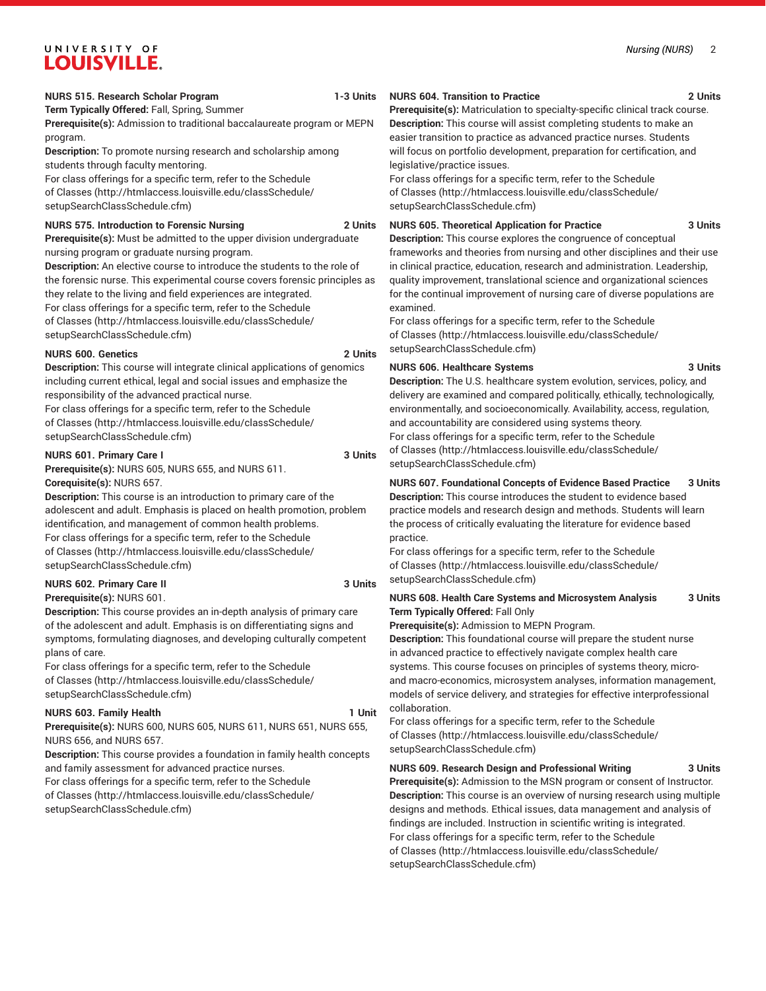**Term Typically Offered:** Fall, Spring, Summer

**Prerequisite(s):** Admission to traditional baccalaureate program or MEPN program.

**Description:** To promote nursing research and scholarship among students through faculty mentoring.

For class offerings for a specific term, refer to the [Schedule](http://htmlaccess.louisville.edu/classSchedule/setupSearchClassSchedule.cfm) [of Classes \(http://htmlaccess.louisville.edu/classSchedule/](http://htmlaccess.louisville.edu/classSchedule/setupSearchClassSchedule.cfm) [setupSearchClassSchedule.cfm\)](http://htmlaccess.louisville.edu/classSchedule/setupSearchClassSchedule.cfm)

#### **NURS 575. Introduction to Forensic Nursing 2 Units**

**Prerequisite(s):** Must be admitted to the upper division undergraduate nursing program or graduate nursing program.

**Description:** An elective course to introduce the students to the role of the forensic nurse. This experimental course covers forensic principles as they relate to the living and field experiences are integrated. For class offerings for a specific term, refer to the [Schedule](http://htmlaccess.louisville.edu/classSchedule/setupSearchClassSchedule.cfm) [of Classes \(http://htmlaccess.louisville.edu/classSchedule/](http://htmlaccess.louisville.edu/classSchedule/setupSearchClassSchedule.cfm) [setupSearchClassSchedule.cfm\)](http://htmlaccess.louisville.edu/classSchedule/setupSearchClassSchedule.cfm)

## **NURS 600. Genetics 2 Units**

**Description:** This course will integrate clinical applications of genomics including current ethical, legal and social issues and emphasize the responsibility of the advanced practical nurse.

For class offerings for a specific term, refer to the [Schedule](http://htmlaccess.louisville.edu/classSchedule/setupSearchClassSchedule.cfm) [of Classes \(http://htmlaccess.louisville.edu/classSchedule/](http://htmlaccess.louisville.edu/classSchedule/setupSearchClassSchedule.cfm) [setupSearchClassSchedule.cfm\)](http://htmlaccess.louisville.edu/classSchedule/setupSearchClassSchedule.cfm)

## **NURS 601. Primary Care I 3 Units**

**Prerequisite(s):** NURS 605, NURS 655, and NURS 611. **Corequisite(s):** NURS 657.

**Description:** This course is an introduction to primary care of the adolescent and adult. Emphasis is placed on health promotion, problem identification, and management of common health problems. For class offerings for a specific term, refer to the [Schedule](http://htmlaccess.louisville.edu/classSchedule/setupSearchClassSchedule.cfm) [of Classes \(http://htmlaccess.louisville.edu/classSchedule/](http://htmlaccess.louisville.edu/classSchedule/setupSearchClassSchedule.cfm) [setupSearchClassSchedule.cfm\)](http://htmlaccess.louisville.edu/classSchedule/setupSearchClassSchedule.cfm)

## **NURS 602. Primary Care II 3 Units**

**Prerequisite(s):** NURS 601.

**Description:** This course provides an in-depth analysis of primary care of the adolescent and adult. Emphasis is on differentiating signs and symptoms, formulating diagnoses, and developing culturally competent plans of care.

For class offerings for a specific term, refer to the [Schedule](http://htmlaccess.louisville.edu/classSchedule/setupSearchClassSchedule.cfm) [of Classes \(http://htmlaccess.louisville.edu/classSchedule/](http://htmlaccess.louisville.edu/classSchedule/setupSearchClassSchedule.cfm) [setupSearchClassSchedule.cfm\)](http://htmlaccess.louisville.edu/classSchedule/setupSearchClassSchedule.cfm)

## **NURS 603. Family Health 1 Unit**

**Prerequisite(s):** NURS 600, NURS 605, NURS 611, NURS 651, NURS 655, NURS 656, and NURS 657.

**Description:** This course provides a foundation in family health concepts and family assessment for advanced practice nurses.

For class offerings for a specific term, refer to the [Schedule](http://htmlaccess.louisville.edu/classSchedule/setupSearchClassSchedule.cfm) [of Classes \(http://htmlaccess.louisville.edu/classSchedule/](http://htmlaccess.louisville.edu/classSchedule/setupSearchClassSchedule.cfm) [setupSearchClassSchedule.cfm\)](http://htmlaccess.louisville.edu/classSchedule/setupSearchClassSchedule.cfm)

## **NURS 604. Transition to Practice 2 Units**

**Prerequisite(s):** Matriculation to specialty-specific clinical track course. **Description:** This course will assist completing students to make an easier transition to practice as advanced practice nurses. Students will focus on portfolio development, preparation for certification, and legislative/practice issues.

For class offerings for a specific term, refer to the [Schedule](http://htmlaccess.louisville.edu/classSchedule/setupSearchClassSchedule.cfm) [of Classes](http://htmlaccess.louisville.edu/classSchedule/setupSearchClassSchedule.cfm) ([http://htmlaccess.louisville.edu/classSchedule/](http://htmlaccess.louisville.edu/classSchedule/setupSearchClassSchedule.cfm) [setupSearchClassSchedule.cfm\)](http://htmlaccess.louisville.edu/classSchedule/setupSearchClassSchedule.cfm)

## **NURS 605. Theoretical Application for Practice 3 Units**

**Description:** This course explores the congruence of conceptual frameworks and theories from nursing and other disciplines and their use in clinical practice, education, research and administration. Leadership, quality improvement, translational science and organizational sciences for the continual improvement of nursing care of diverse populations are examined.

For class offerings for a specific term, refer to the [Schedule](http://htmlaccess.louisville.edu/classSchedule/setupSearchClassSchedule.cfm) [of Classes](http://htmlaccess.louisville.edu/classSchedule/setupSearchClassSchedule.cfm) ([http://htmlaccess.louisville.edu/classSchedule/](http://htmlaccess.louisville.edu/classSchedule/setupSearchClassSchedule.cfm) [setupSearchClassSchedule.cfm\)](http://htmlaccess.louisville.edu/classSchedule/setupSearchClassSchedule.cfm)

## **NURS 606. Healthcare Systems 3 Units**

**Description:** The U.S. healthcare system evolution, services, policy, and delivery are examined and compared politically, ethically, technologically, environmentally, and socioeconomically. Availability, access, regulation, and accountability are considered using systems theory. For class offerings for a specific term, refer to the [Schedule](http://htmlaccess.louisville.edu/classSchedule/setupSearchClassSchedule.cfm) [of Classes](http://htmlaccess.louisville.edu/classSchedule/setupSearchClassSchedule.cfm) ([http://htmlaccess.louisville.edu/classSchedule/](http://htmlaccess.louisville.edu/classSchedule/setupSearchClassSchedule.cfm) [setupSearchClassSchedule.cfm\)](http://htmlaccess.louisville.edu/classSchedule/setupSearchClassSchedule.cfm)

## **NURS 607. Foundational Concepts of Evidence Based Practice 3 Units**

**Description:** This course introduces the student to evidence based practice models and research design and methods. Students will learn the process of critically evaluating the literature for evidence based practice.

For class offerings for a specific term, refer to the [Schedule](http://htmlaccess.louisville.edu/classSchedule/setupSearchClassSchedule.cfm) [of Classes](http://htmlaccess.louisville.edu/classSchedule/setupSearchClassSchedule.cfm) ([http://htmlaccess.louisville.edu/classSchedule/](http://htmlaccess.louisville.edu/classSchedule/setupSearchClassSchedule.cfm) [setupSearchClassSchedule.cfm\)](http://htmlaccess.louisville.edu/classSchedule/setupSearchClassSchedule.cfm)

## **NURS 608. Health Care Systems and Microsystem Analysis 3 Units Term Typically Offered:** Fall Only

**Prerequisite(s):** Admission to MEPN Program.

**Description:** This foundational course will prepare the student nurse in advanced practice to effectively navigate complex health care systems. This course focuses on principles of systems theory, microand macro-economics, microsystem analyses, information management, models of service delivery, and strategies for effective interprofessional collaboration.

For class offerings for a specific term, refer to the [Schedule](http://htmlaccess.louisville.edu/classSchedule/setupSearchClassSchedule.cfm) [of Classes](http://htmlaccess.louisville.edu/classSchedule/setupSearchClassSchedule.cfm) ([http://htmlaccess.louisville.edu/classSchedule/](http://htmlaccess.louisville.edu/classSchedule/setupSearchClassSchedule.cfm) [setupSearchClassSchedule.cfm\)](http://htmlaccess.louisville.edu/classSchedule/setupSearchClassSchedule.cfm)

**NURS 609. Research Design and Professional Writing 3 Units**

**Prerequisite(s):** Admission to the MSN program or consent of Instructor. **Description:** This course is an overview of nursing research using multiple designs and methods. Ethical issues, data management and analysis of findings are included. Instruction in scientific writing is integrated. For class offerings for a specific term, refer to the [Schedule](http://htmlaccess.louisville.edu/classSchedule/setupSearchClassSchedule.cfm) [of Classes](http://htmlaccess.louisville.edu/classSchedule/setupSearchClassSchedule.cfm) ([http://htmlaccess.louisville.edu/classSchedule/](http://htmlaccess.louisville.edu/classSchedule/setupSearchClassSchedule.cfm) [setupSearchClassSchedule.cfm\)](http://htmlaccess.louisville.edu/classSchedule/setupSearchClassSchedule.cfm)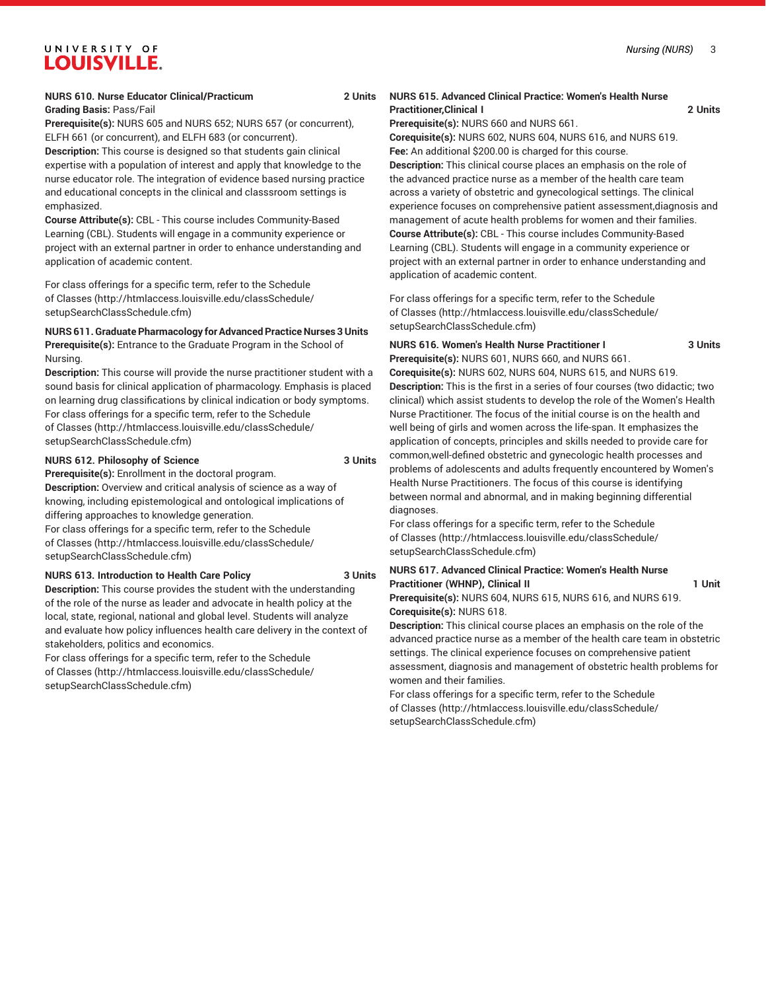#### **NURS 610. Nurse Educator Clinical/Practicum 2 Units Grading Basis:** Pass/Fail

**Prerequisite(s):** NURS 605 and NURS 652; NURS 657 (or concurrent), ELFH 661 (or concurrent), and ELFH 683 (or concurrent).

**Description:** This course is designed so that students gain clinical expertise with a population of interest and apply that knowledge to the nurse educator role. The integration of evidence based nursing practice and educational concepts in the clinical and classsroom settings is emphasized.

**Course Attribute(s):** CBL - This course includes Community-Based Learning (CBL). Students will engage in a community experience or project with an external partner in order to enhance understanding and application of academic content.

For class offerings for a specific term, refer to the [Schedule](http://htmlaccess.louisville.edu/classSchedule/setupSearchClassSchedule.cfm) [of Classes \(http://htmlaccess.louisville.edu/classSchedule/](http://htmlaccess.louisville.edu/classSchedule/setupSearchClassSchedule.cfm) [setupSearchClassSchedule.cfm\)](http://htmlaccess.louisville.edu/classSchedule/setupSearchClassSchedule.cfm)

**NURS 611.Graduate Pharmacology for Advanced Practice Nurses 3 Units Prerequisite(s):** Entrance to the Graduate Program in the School of

Nursing.

**Description:** This course will provide the nurse practitioner student with a sound basis for clinical application of pharmacology. Emphasis is placed on learning drug classifications by clinical indication or body symptoms. For class offerings for a specific term, refer to the [Schedule](http://htmlaccess.louisville.edu/classSchedule/setupSearchClassSchedule.cfm) [of Classes \(http://htmlaccess.louisville.edu/classSchedule/](http://htmlaccess.louisville.edu/classSchedule/setupSearchClassSchedule.cfm) [setupSearchClassSchedule.cfm\)](http://htmlaccess.louisville.edu/classSchedule/setupSearchClassSchedule.cfm)

## **NURS 612. Philosophy of Science 3 Units**

**Prerequisite(s):** Enrollment in the doctoral program.

**Description:** Overview and critical analysis of science as a way of knowing, including epistemological and ontological implications of differing approaches to knowledge generation.

For class offerings for a specific term, refer to the [Schedule](http://htmlaccess.louisville.edu/classSchedule/setupSearchClassSchedule.cfm) [of Classes \(http://htmlaccess.louisville.edu/classSchedule/](http://htmlaccess.louisville.edu/classSchedule/setupSearchClassSchedule.cfm) [setupSearchClassSchedule.cfm\)](http://htmlaccess.louisville.edu/classSchedule/setupSearchClassSchedule.cfm)

#### **NURS 613. Introduction to Health Care Policy 3 Units**

**Description:** This course provides the student with the understanding of the role of the nurse as leader and advocate in health policy at the local, state, regional, national and global level. Students will analyze and evaluate how policy influences health care delivery in the context of stakeholders, politics and economics.

For class offerings for a specific term, refer to the [Schedule](http://htmlaccess.louisville.edu/classSchedule/setupSearchClassSchedule.cfm) [of Classes \(http://htmlaccess.louisville.edu/classSchedule/](http://htmlaccess.louisville.edu/classSchedule/setupSearchClassSchedule.cfm) [setupSearchClassSchedule.cfm\)](http://htmlaccess.louisville.edu/classSchedule/setupSearchClassSchedule.cfm)

## **NURS 615. Advanced Clinical Practice: Women's Health Nurse Practitioner,Clinical I 2 Units**

**Prerequisite(s):** NURS 660 and NURS 661.

**Corequisite(s):** NURS 602, NURS 604, NURS 616, and NURS 619. **Fee:** An additional \$200.00 is charged for this course. **Description:** This clinical course places an emphasis on the role of the advanced practice nurse as a member of the health care team across a variety of obstetric and gynecological settings. The clinical experience focuses on comprehensive patient assessment,diagnosis and management of acute health problems for women and their families. **Course Attribute(s):** CBL - This course includes Community-Based Learning (CBL). Students will engage in a community experience or project with an external partner in order to enhance understanding and application of academic content.

For class offerings for a specific term, refer to the [Schedule](http://htmlaccess.louisville.edu/classSchedule/setupSearchClassSchedule.cfm) [of Classes](http://htmlaccess.louisville.edu/classSchedule/setupSearchClassSchedule.cfm) ([http://htmlaccess.louisville.edu/classSchedule/](http://htmlaccess.louisville.edu/classSchedule/setupSearchClassSchedule.cfm) [setupSearchClassSchedule.cfm\)](http://htmlaccess.louisville.edu/classSchedule/setupSearchClassSchedule.cfm)

# **NURS 616. Women's Health Nurse Practitioner I 3 Units**

**Prerequisite(s):** NURS 601, NURS 660, and NURS 661. **Corequisite(s):** NURS 602, NURS 604, NURS 615, and NURS 619. **Description:** This is the first in a series of four courses (two didactic; two clinical) which assist students to develop the role of the Women's Health Nurse Practitioner. The focus of the initial course is on the health and well being of girls and women across the life-span. It emphasizes the application of concepts, principles and skills needed to provide care for common,well-defined obstetric and gynecologic health processes and problems of adolescents and adults frequently encountered by Women's Health Nurse Practitioners. The focus of this course is identifying between normal and abnormal, and in making beginning differential diagnoses.

For class offerings for a specific term, refer to the [Schedule](http://htmlaccess.louisville.edu/classSchedule/setupSearchClassSchedule.cfm) [of Classes](http://htmlaccess.louisville.edu/classSchedule/setupSearchClassSchedule.cfm) ([http://htmlaccess.louisville.edu/classSchedule/](http://htmlaccess.louisville.edu/classSchedule/setupSearchClassSchedule.cfm) [setupSearchClassSchedule.cfm\)](http://htmlaccess.louisville.edu/classSchedule/setupSearchClassSchedule.cfm)

## **NURS 617. Advanced Clinical Practice: Women's Health Nurse Practitioner (WHNP), Clinical II 1 Unit**

**Prerequisite(s):** NURS 604, NURS 615, NURS 616, and NURS 619. **Corequisite(s):** NURS 618.

**Description:** This clinical course places an emphasis on the role of the advanced practice nurse as a member of the health care team in obstetric settings. The clinical experience focuses on comprehensive patient assessment, diagnosis and management of obstetric health problems for women and their families.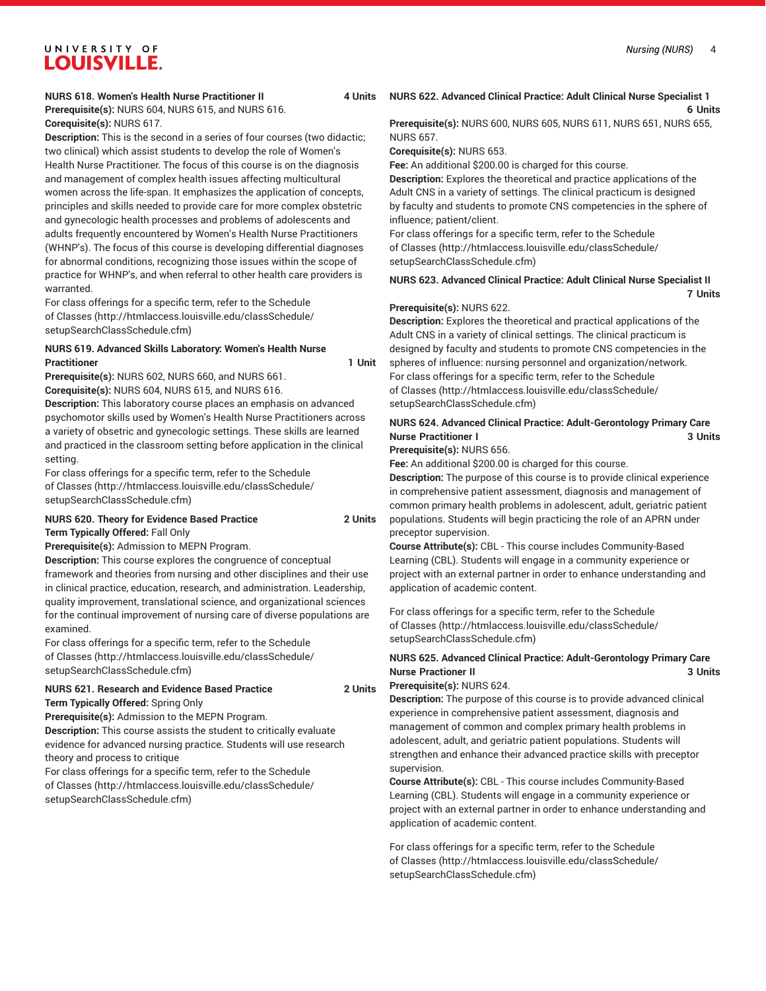## **NURS 618. Women's Health Nurse Practitioner II 4 Units**

**Prerequisite(s):** NURS 604, NURS 615, and NURS 616. **Corequisite(s):** NURS 617.

**Description:** This is the second in a series of four courses (two didactic; two clinical) which assist students to develop the role of Women's Health Nurse Practitioner. The focus of this course is on the diagnosis and management of complex health issues affecting multicultural women across the life-span. It emphasizes the application of concepts, principles and skills needed to provide care for more complex obstetric and gynecologic health processes and problems of adolescents and adults frequently encountered by Women's Health Nurse Practitioners (WHNP's). The focus of this course is developing differential diagnoses for abnormal conditions, recognizing those issues within the scope of practice for WHNP's, and when referral to other health care providers is warranted.

For class offerings for a specific term, refer to the [Schedule](http://htmlaccess.louisville.edu/classSchedule/setupSearchClassSchedule.cfm) [of Classes \(http://htmlaccess.louisville.edu/classSchedule/](http://htmlaccess.louisville.edu/classSchedule/setupSearchClassSchedule.cfm) [setupSearchClassSchedule.cfm\)](http://htmlaccess.louisville.edu/classSchedule/setupSearchClassSchedule.cfm)

## **NURS 619. Advanced Skills Laboratory: Women's Health Nurse** Practitioner **1 Unit**

**Prerequisite(s):** NURS 602, NURS 660, and NURS 661.

**Corequisite(s):** NURS 604, NURS 615, and NURS 616.

**Description:** This laboratory course places an emphasis on advanced psychomotor skills used by Women's Health Nurse Practitioners across a variety of obsetric and gynecologic settings. These skills are learned and practiced in the classroom setting before application in the clinical setting.

For class offerings for a specific term, refer to the [Schedule](http://htmlaccess.louisville.edu/classSchedule/setupSearchClassSchedule.cfm) [of Classes \(http://htmlaccess.louisville.edu/classSchedule/](http://htmlaccess.louisville.edu/classSchedule/setupSearchClassSchedule.cfm) [setupSearchClassSchedule.cfm\)](http://htmlaccess.louisville.edu/classSchedule/setupSearchClassSchedule.cfm)

#### **NURS 620. Theory for Evidence Based Practice 2 Units Term Typically Offered:** Fall Only

**Prerequisite(s):** Admission to MEPN Program.

**Description:** This course explores the congruence of conceptual

framework and theories from nursing and other disciplines and their use in clinical practice, education, research, and administration. Leadership, quality improvement, translational science, and organizational sciences for the continual improvement of nursing care of diverse populations are examined.

For class offerings for a specific term, refer to the [Schedule](http://htmlaccess.louisville.edu/classSchedule/setupSearchClassSchedule.cfm) [of Classes \(http://htmlaccess.louisville.edu/classSchedule/](http://htmlaccess.louisville.edu/classSchedule/setupSearchClassSchedule.cfm) [setupSearchClassSchedule.cfm\)](http://htmlaccess.louisville.edu/classSchedule/setupSearchClassSchedule.cfm)

#### **NURS 621. Research and Evidence Based Practice 2 Units Term Typically Offered:** Spring Only

**Prerequisite(s):** Admission to the MEPN Program.

**Description:** This course assists the student to critically evaluate evidence for advanced nursing practice. Students will use research theory and process to critique

For class offerings for a specific term, refer to the [Schedule](http://htmlaccess.louisville.edu/classSchedule/setupSearchClassSchedule.cfm) [of Classes \(http://htmlaccess.louisville.edu/classSchedule/](http://htmlaccess.louisville.edu/classSchedule/setupSearchClassSchedule.cfm) [setupSearchClassSchedule.cfm\)](http://htmlaccess.louisville.edu/classSchedule/setupSearchClassSchedule.cfm)

## **NURS 622. Advanced Clinical Practice: Adult Clinical Nurse Specialist 1 6 Units**

**Prerequisite(s):** NURS 600, NURS 605, NURS 611, NURS 651, NURS 655, NURS 657.

**Corequisite(s):** NURS 653.

**Fee:** An additional \$200.00 is charged for this course.

**Description:** Explores the theoretical and practice applications of the Adult CNS in a variety of settings. The clinical practicum is designed by faculty and students to promote CNS competencies in the sphere of influence; patient/client.

For class offerings for a specific term, refer to the [Schedule](http://htmlaccess.louisville.edu/classSchedule/setupSearchClassSchedule.cfm) [of Classes](http://htmlaccess.louisville.edu/classSchedule/setupSearchClassSchedule.cfm) ([http://htmlaccess.louisville.edu/classSchedule/](http://htmlaccess.louisville.edu/classSchedule/setupSearchClassSchedule.cfm) [setupSearchClassSchedule.cfm\)](http://htmlaccess.louisville.edu/classSchedule/setupSearchClassSchedule.cfm)

## **NURS 623. Advanced Clinical Practice: Adult Clinical Nurse Specialist II 7 Units**

## **Prerequisite(s):** NURS 622.

**Description:** Explores the theoretical and practical applications of the Adult CNS in a variety of clinical settings. The clinical practicum is designed by faculty and students to promote CNS competencies in the spheres of influence: nursing personnel and organization/network. For class offerings for a specific term, refer to the [Schedule](http://htmlaccess.louisville.edu/classSchedule/setupSearchClassSchedule.cfm) [of Classes](http://htmlaccess.louisville.edu/classSchedule/setupSearchClassSchedule.cfm) ([http://htmlaccess.louisville.edu/classSchedule/](http://htmlaccess.louisville.edu/classSchedule/setupSearchClassSchedule.cfm) [setupSearchClassSchedule.cfm\)](http://htmlaccess.louisville.edu/classSchedule/setupSearchClassSchedule.cfm)

## **NURS 624. Advanced Clinical Practice: Adult-Gerontology Primary Care Nurse Practitioner I 3 Units**

**Prerequisite(s):** NURS 656.

**Fee:** An additional \$200.00 is charged for this course.

**Description:** The purpose of this course is to provide clinical experience in comprehensive patient assessment, diagnosis and management of common primary health problems in adolescent, adult, geriatric patient populations. Students will begin practicing the role of an APRN under preceptor supervision.

**Course Attribute(s):** CBL - This course includes Community-Based Learning (CBL). Students will engage in a community experience or project with an external partner in order to enhance understanding and application of academic content.

For class offerings for a specific term, refer to the [Schedule](http://htmlaccess.louisville.edu/classSchedule/setupSearchClassSchedule.cfm) [of Classes](http://htmlaccess.louisville.edu/classSchedule/setupSearchClassSchedule.cfm) ([http://htmlaccess.louisville.edu/classSchedule/](http://htmlaccess.louisville.edu/classSchedule/setupSearchClassSchedule.cfm) [setupSearchClassSchedule.cfm\)](http://htmlaccess.louisville.edu/classSchedule/setupSearchClassSchedule.cfm)

## **NURS 625. Advanced Clinical Practice: Adult-Gerontology Primary Care Nurse Practioner II** 3 Units

**Prerequisite(s):** NURS 624.

**Description:** The purpose of this course is to provide advanced clinical experience in comprehensive patient assessment, diagnosis and management of common and complex primary health problems in adolescent, adult, and geriatric patient populations. Students will strengthen and enhance their advanced practice skills with preceptor supervision.

**Course Attribute(s):** CBL - This course includes Community-Based Learning (CBL). Students will engage in a community experience or project with an external partner in order to enhance understanding and application of academic content.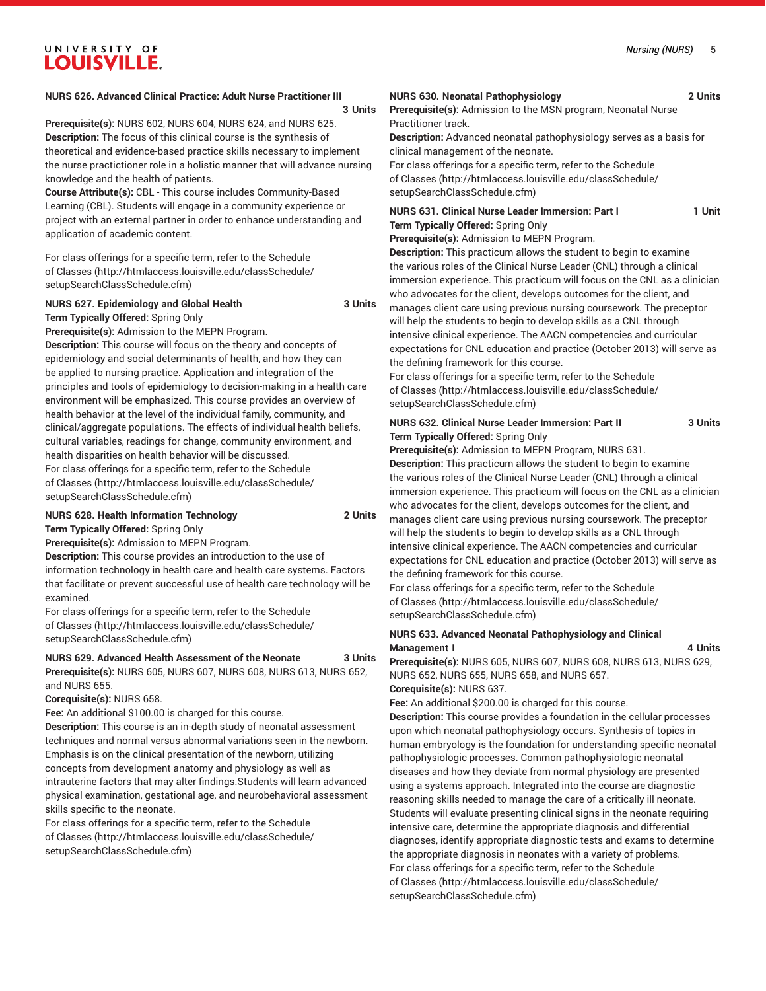## **NURS 626. Advanced Clinical Practice: Adult Nurse Practitioner III**

#### **3 Units**

**Prerequisite(s):** NURS 602, NURS 604, NURS 624, and NURS 625. **Description:** The focus of this clinical course is the synthesis of theoretical and evidence-based practice skills necessary to implement the nurse practictioner role in a holistic manner that will advance nursing knowledge and the health of patients.

**Course Attribute(s):** CBL - This course includes Community-Based Learning (CBL). Students will engage in a community experience or project with an external partner in order to enhance understanding and application of academic content.

For class offerings for a specific term, refer to the [Schedule](http://htmlaccess.louisville.edu/classSchedule/setupSearchClassSchedule.cfm) [of Classes \(http://htmlaccess.louisville.edu/classSchedule/](http://htmlaccess.louisville.edu/classSchedule/setupSearchClassSchedule.cfm) [setupSearchClassSchedule.cfm\)](http://htmlaccess.louisville.edu/classSchedule/setupSearchClassSchedule.cfm)

## **NURS 627. Epidemiology and Global Health 3 Units Term Typically Offered:** Spring Only

**Prerequisite(s):** Admission to the MEPN Program.

**Description:** This course will focus on the theory and concepts of epidemiology and social determinants of health, and how they can be applied to nursing practice. Application and integration of the principles and tools of epidemiology to decision-making in a health care environment will be emphasized. This course provides an overview of health behavior at the level of the individual family, community, and clinical/aggregate populations. The effects of individual health beliefs, cultural variables, readings for change, community environment, and health disparities on health behavior will be discussed.

For class offerings for a specific term, refer to the [Schedule](http://htmlaccess.louisville.edu/classSchedule/setupSearchClassSchedule.cfm) [of Classes \(http://htmlaccess.louisville.edu/classSchedule/](http://htmlaccess.louisville.edu/classSchedule/setupSearchClassSchedule.cfm) [setupSearchClassSchedule.cfm\)](http://htmlaccess.louisville.edu/classSchedule/setupSearchClassSchedule.cfm)

## **NURS 628. Health Information Technology 2 Units Term Typically Offered:** Spring Only

**Prerequisite(s):** Admission to MEPN Program.

**Description:** This course provides an introduction to the use of

information technology in health care and health care systems. Factors that facilitate or prevent successful use of health care technology will be examined.

For class offerings for a specific term, refer to the [Schedule](http://htmlaccess.louisville.edu/classSchedule/setupSearchClassSchedule.cfm) [of Classes \(http://htmlaccess.louisville.edu/classSchedule/](http://htmlaccess.louisville.edu/classSchedule/setupSearchClassSchedule.cfm) [setupSearchClassSchedule.cfm\)](http://htmlaccess.louisville.edu/classSchedule/setupSearchClassSchedule.cfm)

**NURS 629. Advanced Health Assessment of the Neonate 3 Units Prerequisite(s):** NURS 605, NURS 607, NURS 608, NURS 613, NURS 652, and NURS 655.

**Corequisite(s):** NURS 658.

**Fee:** An additional \$100.00 is charged for this course.

**Description:** This course is an in-depth study of neonatal assessment techniques and normal versus abnormal variations seen in the newborn. Emphasis is on the clinical presentation of the newborn, utilizing concepts from development anatomy and physiology as well as intrauterine factors that may alter findings.Students will learn advanced physical examination, gestational age, and neurobehavioral assessment skills specific to the neonate.

For class offerings for a specific term, refer to the [Schedule](http://htmlaccess.louisville.edu/classSchedule/setupSearchClassSchedule.cfm) [of Classes \(http://htmlaccess.louisville.edu/classSchedule/](http://htmlaccess.louisville.edu/classSchedule/setupSearchClassSchedule.cfm) [setupSearchClassSchedule.cfm\)](http://htmlaccess.louisville.edu/classSchedule/setupSearchClassSchedule.cfm)

#### **NURS 630. Neonatal Pathophysiology 2 Units**

**Prerequisite(s):** Admission to the MSN program, Neonatal Nurse Practitioner track.

**Description:** Advanced neonatal pathophysiology serves as a basis for clinical management of the neonate.

For class offerings for a specific term, refer to the [Schedule](http://htmlaccess.louisville.edu/classSchedule/setupSearchClassSchedule.cfm) [of Classes](http://htmlaccess.louisville.edu/classSchedule/setupSearchClassSchedule.cfm) ([http://htmlaccess.louisville.edu/classSchedule/](http://htmlaccess.louisville.edu/classSchedule/setupSearchClassSchedule.cfm) [setupSearchClassSchedule.cfm\)](http://htmlaccess.louisville.edu/classSchedule/setupSearchClassSchedule.cfm)

**NURS 631. Clinical Nurse Leader Immersion: Part I 1 Unit Term Typically Offered:** Spring Only

**Prerequisite(s):** Admission to MEPN Program.

**Description:** This practicum allows the student to begin to examine the various roles of the Clinical Nurse Leader (CNL) through a clinical immersion experience. This practicum will focus on the CNL as a clinician who advocates for the client, develops outcomes for the client, and manages client care using previous nursing coursework. The preceptor will help the students to begin to develop skills as a CNL through intensive clinical experience. The AACN competencies and curricular expectations for CNL education and practice (October 2013) will serve as the defining framework for this course.

For class offerings for a specific term, refer to the [Schedule](http://htmlaccess.louisville.edu/classSchedule/setupSearchClassSchedule.cfm) [of Classes](http://htmlaccess.louisville.edu/classSchedule/setupSearchClassSchedule.cfm) ([http://htmlaccess.louisville.edu/classSchedule/](http://htmlaccess.louisville.edu/classSchedule/setupSearchClassSchedule.cfm) [setupSearchClassSchedule.cfm\)](http://htmlaccess.louisville.edu/classSchedule/setupSearchClassSchedule.cfm)

#### **NURS 632. Clinical Nurse Leader Immersion: Part II 3 Units Term Typically Offered:** Spring Only

**Prerequisite(s):** Admission to MEPN Program, NURS 631. **Description:** This practicum allows the student to begin to examine the various roles of the Clinical Nurse Leader (CNL) through a clinical immersion experience. This practicum will focus on the CNL as a clinician who advocates for the client, develops outcomes for the client, and manages client care using previous nursing coursework. The preceptor will help the students to begin to develop skills as a CNL through intensive clinical experience. The AACN competencies and curricular expectations for CNL education and practice (October 2013) will serve as the defining framework for this course.

For class offerings for a specific term, refer to the [Schedule](http://htmlaccess.louisville.edu/classSchedule/setupSearchClassSchedule.cfm) [of Classes](http://htmlaccess.louisville.edu/classSchedule/setupSearchClassSchedule.cfm) ([http://htmlaccess.louisville.edu/classSchedule/](http://htmlaccess.louisville.edu/classSchedule/setupSearchClassSchedule.cfm) [setupSearchClassSchedule.cfm\)](http://htmlaccess.louisville.edu/classSchedule/setupSearchClassSchedule.cfm)

## **NURS 633. Advanced Neonatal Pathophysiology and Clinical Management I** 4 Units

**Prerequisite(s):** NURS 605, NURS 607, NURS 608, NURS 613, NURS 629, NURS 652, NURS 655, NURS 658, and NURS 657. **Corequisite(s):** NURS 637.

**Fee:** An additional \$200.00 is charged for this course.

**Description:** This course provides a foundation in the cellular processes upon which neonatal pathophysiology occurs. Synthesis of topics in human embryology is the foundation for understanding specific neonatal pathophysiologic processes. Common pathophysiologic neonatal diseases and how they deviate from normal physiology are presented using a systems approach. Integrated into the course are diagnostic reasoning skills needed to manage the care of a critically ill neonate. Students will evaluate presenting clinical signs in the neonate requiring intensive care, determine the appropriate diagnosis and differential diagnoses, identify appropriate diagnostic tests and exams to determine the appropriate diagnosis in neonates with a variety of problems. For class offerings for a specific term, refer to the [Schedule](http://htmlaccess.louisville.edu/classSchedule/setupSearchClassSchedule.cfm) [of Classes](http://htmlaccess.louisville.edu/classSchedule/setupSearchClassSchedule.cfm) ([http://htmlaccess.louisville.edu/classSchedule/](http://htmlaccess.louisville.edu/classSchedule/setupSearchClassSchedule.cfm) [setupSearchClassSchedule.cfm\)](http://htmlaccess.louisville.edu/classSchedule/setupSearchClassSchedule.cfm)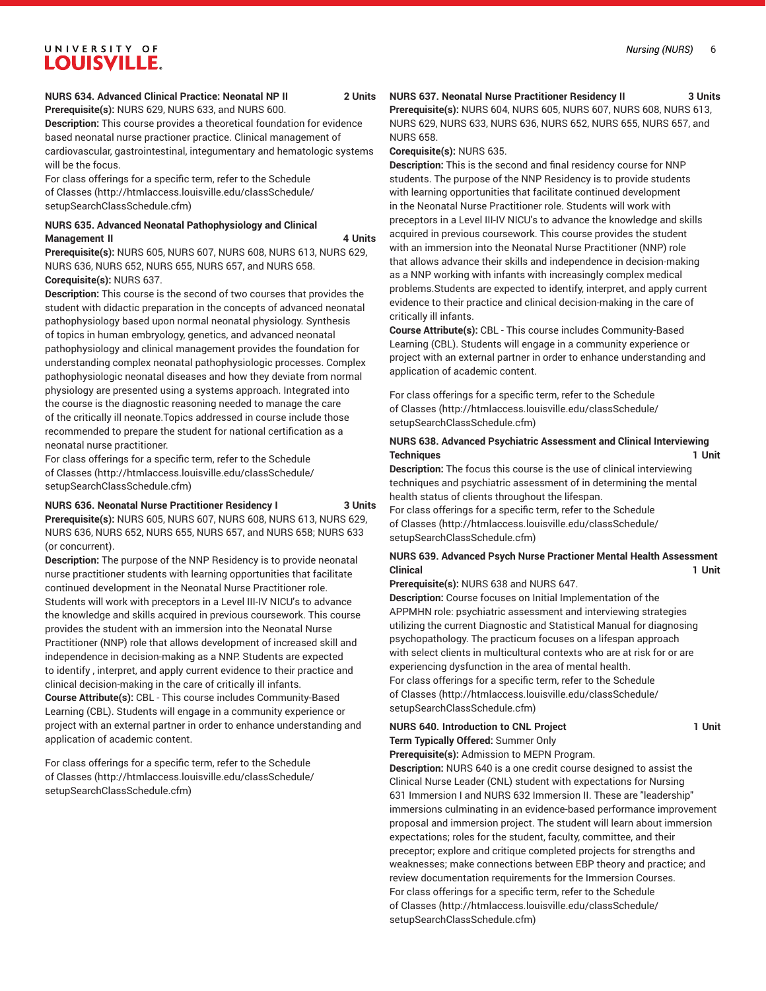#### **NURS 634. Advanced Clinical Practice: Neonatal NP II 2 Units Prerequisite(s):** NURS 629, NURS 633, and NURS 600.

**Description:** This course provides a theoretical foundation for evidence based neonatal nurse practioner practice. Clinical management of cardiovascular, gastrointestinal, integumentary and hematologic systems will be the focus.

For class offerings for a specific term, refer to the [Schedule](http://htmlaccess.louisville.edu/classSchedule/setupSearchClassSchedule.cfm) [of Classes \(http://htmlaccess.louisville.edu/classSchedule/](http://htmlaccess.louisville.edu/classSchedule/setupSearchClassSchedule.cfm) [setupSearchClassSchedule.cfm\)](http://htmlaccess.louisville.edu/classSchedule/setupSearchClassSchedule.cfm)

## **NURS 635. Advanced Neonatal Pathophysiology and Clinical Management II** 4 Units

**Prerequisite(s):** NURS 605, NURS 607, NURS 608, NURS 613, NURS 629, NURS 636, NURS 652, NURS 655, NURS 657, and NURS 658. **Corequisite(s):** NURS 637.

**Description:** This course is the second of two courses that provides the student with didactic preparation in the concepts of advanced neonatal pathophysiology based upon normal neonatal physiology. Synthesis of topics in human embryology, genetics, and advanced neonatal pathophysiology and clinical management provides the foundation for understanding complex neonatal pathophysiologic processes. Complex pathophysiologic neonatal diseases and how they deviate from normal physiology are presented using a systems approach. Integrated into the course is the diagnostic reasoning needed to manage the care of the critically ill neonate.Topics addressed in course include those recommended to prepare the student for national certification as a neonatal nurse practitioner.

For class offerings for a specific term, refer to the [Schedule](http://htmlaccess.louisville.edu/classSchedule/setupSearchClassSchedule.cfm) [of Classes \(http://htmlaccess.louisville.edu/classSchedule/](http://htmlaccess.louisville.edu/classSchedule/setupSearchClassSchedule.cfm) [setupSearchClassSchedule.cfm\)](http://htmlaccess.louisville.edu/classSchedule/setupSearchClassSchedule.cfm)

#### **NURS 636. Neonatal Nurse Practitioner Residency I 3 Units**

**Prerequisite(s):** NURS 605, NURS 607, NURS 608, NURS 613, NURS 629, NURS 636, NURS 652, NURS 655, NURS 657, and NURS 658; NURS 633 (or concurrent).

**Description:** The purpose of the NNP Residency is to provide neonatal nurse practitioner students with learning opportunities that facilitate continued development in the Neonatal Nurse Practitioner role. Students will work with preceptors in a Level III-IV NICU's to advance the knowledge and skills acquired in previous coursework. This course provides the student with an immersion into the Neonatal Nurse Practitioner (NNP) role that allows development of increased skill and independence in decision-making as a NNP. Students are expected to identify , interpret, and apply current evidence to their practice and clinical decision-making in the care of critically ill infants. **Course Attribute(s):** CBL - This course includes Community-Based Learning (CBL). Students will engage in a community experience or project with an external partner in order to enhance understanding and application of academic content.

For class offerings for a specific term, refer to the [Schedule](http://htmlaccess.louisville.edu/classSchedule/setupSearchClassSchedule.cfm) [of Classes \(http://htmlaccess.louisville.edu/classSchedule/](http://htmlaccess.louisville.edu/classSchedule/setupSearchClassSchedule.cfm) [setupSearchClassSchedule.cfm\)](http://htmlaccess.louisville.edu/classSchedule/setupSearchClassSchedule.cfm)

#### **NURS 637. Neonatal Nurse Practitioner Residency II 3 Units**

**Prerequisite(s):** NURS 604, NURS 605, NURS 607, NURS 608, NURS 613, NURS 629, NURS 633, NURS 636, NURS 652, NURS 655, NURS 657, and NURS 658.

**Corequisite(s):** NURS 635.

**Description:** This is the second and final residency course for NNP students. The purpose of the NNP Residency is to provide students with learning opportunities that facilitate continued development in the Neonatal Nurse Practitioner role. Students will work with preceptors in a Level III-IV NICU's to advance the knowledge and skills acquired in previous coursework. This course provides the student with an immersion into the Neonatal Nurse Practitioner (NNP) role that allows advance their skills and independence in decision-making as a NNP working with infants with increasingly complex medical problems.Students are expected to identify, interpret, and apply current evidence to their practice and clinical decision-making in the care of critically ill infants.

**Course Attribute(s):** CBL - This course includes Community-Based Learning (CBL). Students will engage in a community experience or project with an external partner in order to enhance understanding and application of academic content.

For class offerings for a specific term, refer to the [Schedule](http://htmlaccess.louisville.edu/classSchedule/setupSearchClassSchedule.cfm) [of Classes](http://htmlaccess.louisville.edu/classSchedule/setupSearchClassSchedule.cfm) ([http://htmlaccess.louisville.edu/classSchedule/](http://htmlaccess.louisville.edu/classSchedule/setupSearchClassSchedule.cfm) [setupSearchClassSchedule.cfm\)](http://htmlaccess.louisville.edu/classSchedule/setupSearchClassSchedule.cfm)

## **NURS 638. Advanced Psychiatric Assessment and Clinical Interviewing Techniques 1 Unit**

**Description:** The focus this course is the use of clinical interviewing techniques and psychiatric assessment of in determining the mental health status of clients throughout the lifespan.

For class offerings for a specific term, refer to the [Schedule](http://htmlaccess.louisville.edu/classSchedule/setupSearchClassSchedule.cfm) [of Classes](http://htmlaccess.louisville.edu/classSchedule/setupSearchClassSchedule.cfm) ([http://htmlaccess.louisville.edu/classSchedule/](http://htmlaccess.louisville.edu/classSchedule/setupSearchClassSchedule.cfm) [setupSearchClassSchedule.cfm\)](http://htmlaccess.louisville.edu/classSchedule/setupSearchClassSchedule.cfm)

## **NURS 639. Advanced Psych Nurse Practioner Mental Health Assessment Clinical 1 Unit**

**Prerequisite(s):** NURS 638 and NURS 647.

**Description:** Course focuses on Initial Implementation of the APPMHN role: psychiatric assessment and interviewing strategies utilizing the current Diagnostic and Statistical Manual for diagnosing psychopathology. The practicum focuses on a lifespan approach with select clients in multicultural contexts who are at risk for or are experiencing dysfunction in the area of mental health. For class offerings for a specific term, refer to the [Schedule](http://htmlaccess.louisville.edu/classSchedule/setupSearchClassSchedule.cfm)

[of Classes](http://htmlaccess.louisville.edu/classSchedule/setupSearchClassSchedule.cfm) ([http://htmlaccess.louisville.edu/classSchedule/](http://htmlaccess.louisville.edu/classSchedule/setupSearchClassSchedule.cfm) [setupSearchClassSchedule.cfm\)](http://htmlaccess.louisville.edu/classSchedule/setupSearchClassSchedule.cfm)

## **NURS 640. Introduction to CNL Project 1 Unit Term Typically Offered:** Summer Only

**Prerequisite(s):** Admission to MEPN Program.

**Description:** NURS 640 is a one credit course designed to assist the Clinical Nurse Leader (CNL) student with expectations for Nursing 631 Immersion I and NURS 632 Immersion II. These are "leadership" immersions culminating in an evidence-based performance improvement proposal and immersion project. The student will learn about immersion expectations; roles for the student, faculty, committee, and their preceptor; explore and critique completed projects for strengths and weaknesses; make connections between EBP theory and practice; and review documentation requirements for the Immersion Courses. For class offerings for a specific term, refer to the [Schedule](http://htmlaccess.louisville.edu/classSchedule/setupSearchClassSchedule.cfm) [of Classes](http://htmlaccess.louisville.edu/classSchedule/setupSearchClassSchedule.cfm) ([http://htmlaccess.louisville.edu/classSchedule/](http://htmlaccess.louisville.edu/classSchedule/setupSearchClassSchedule.cfm) [setupSearchClassSchedule.cfm\)](http://htmlaccess.louisville.edu/classSchedule/setupSearchClassSchedule.cfm)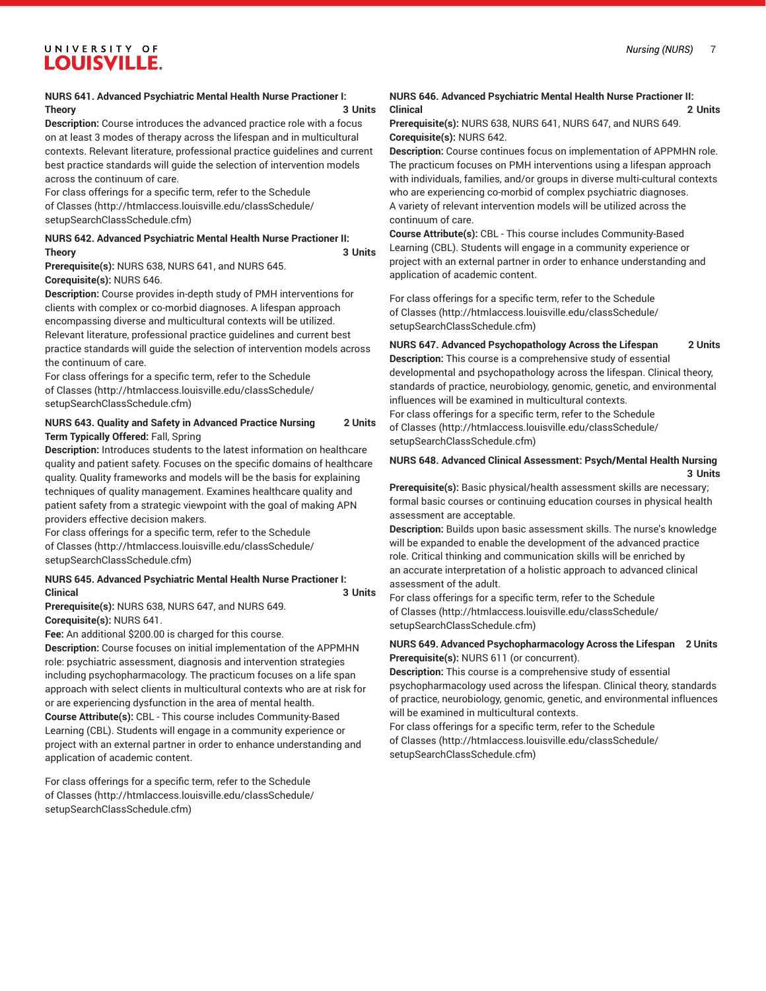# **Theory 3 Units**

**Description:** Course introduces the advanced practice role with a focus on at least 3 modes of therapy across the lifespan and in multicultural contexts. Relevant literature, professional practice guidelines and current best practice standards will guide the selection of intervention models across the continuum of care.

For class offerings for a specific term, refer to the [Schedule](http://htmlaccess.louisville.edu/classSchedule/setupSearchClassSchedule.cfm) [of Classes \(http://htmlaccess.louisville.edu/classSchedule/](http://htmlaccess.louisville.edu/classSchedule/setupSearchClassSchedule.cfm) [setupSearchClassSchedule.cfm\)](http://htmlaccess.louisville.edu/classSchedule/setupSearchClassSchedule.cfm)

## **NURS 642. Advanced Psychiatric Mental Health Nurse Practioner II: Theory 3 Units**

**Prerequisite(s):** NURS 638, NURS 641, and NURS 645. **Corequisite(s):** NURS 646.

**Description:** Course provides in-depth study of PMH interventions for clients with complex or co-morbid diagnoses. A lifespan approach encompassing diverse and multicultural contexts will be utilized. Relevant literature, professional practice guidelines and current best practice standards will guide the selection of intervention models across the continuum of care.

For class offerings for a specific term, refer to the [Schedule](http://htmlaccess.louisville.edu/classSchedule/setupSearchClassSchedule.cfm) [of Classes \(http://htmlaccess.louisville.edu/classSchedule/](http://htmlaccess.louisville.edu/classSchedule/setupSearchClassSchedule.cfm) [setupSearchClassSchedule.cfm\)](http://htmlaccess.louisville.edu/classSchedule/setupSearchClassSchedule.cfm)

## **NURS 643. Quality and Safety in Advanced Practice Nursing 2 Units Term Typically Offered:** Fall, Spring

**Description:** Introduces students to the latest information on healthcare quality and patient safety. Focuses on the specific domains of healthcare quality. Quality frameworks and models will be the basis for explaining techniques of quality management. Examines healthcare quality and patient safety from a strategic viewpoint with the goal of making APN providers effective decision makers.

For class offerings for a specific term, refer to the [Schedule](http://htmlaccess.louisville.edu/classSchedule/setupSearchClassSchedule.cfm) [of Classes \(http://htmlaccess.louisville.edu/classSchedule/](http://htmlaccess.louisville.edu/classSchedule/setupSearchClassSchedule.cfm) [setupSearchClassSchedule.cfm\)](http://htmlaccess.louisville.edu/classSchedule/setupSearchClassSchedule.cfm)

## **NURS 645. Advanced Psychiatric Mental Health Nurse Practioner I: Clinical 3 Units**

**Prerequisite(s):** NURS 638, NURS 647, and NURS 649. **Corequisite(s):** NURS 641.

**Fee:** An additional \$200.00 is charged for this course.

**Description:** Course focuses on initial implementation of the APPMHN role: psychiatric assessment, diagnosis and intervention strategies including psychopharmacology. The practicum focuses on a life span approach with select clients in multicultural contexts who are at risk for or are experiencing dysfunction in the area of mental health. **Course Attribute(s):** CBL - This course includes Community-Based Learning (CBL). Students will engage in a community experience or project with an external partner in order to enhance understanding and

application of academic content. For class offerings for a specific term, refer to the [Schedule](http://htmlaccess.louisville.edu/classSchedule/setupSearchClassSchedule.cfm)

[of Classes \(http://htmlaccess.louisville.edu/classSchedule/](http://htmlaccess.louisville.edu/classSchedule/setupSearchClassSchedule.cfm) [setupSearchClassSchedule.cfm\)](http://htmlaccess.louisville.edu/classSchedule/setupSearchClassSchedule.cfm)

## **NURS 646. Advanced Psychiatric Mental Health Nurse Practioner II: Clinical 2 Units**

**Prerequisite(s):** NURS 638, NURS 641, NURS 647, and NURS 649. **Corequisite(s):** NURS 642.

**Description:** Course continues focus on implementation of APPMHN role. The practicum focuses on PMH interventions using a lifespan approach with individuals, families, and/or groups in diverse multi-cultural contexts who are experiencing co-morbid of complex psychiatric diagnoses. A variety of relevant intervention models will be utilized across the continuum of care.

**Course Attribute(s):** CBL - This course includes Community-Based Learning (CBL). Students will engage in a community experience or project with an external partner in order to enhance understanding and application of academic content.

For class offerings for a specific term, refer to the [Schedule](http://htmlaccess.louisville.edu/classSchedule/setupSearchClassSchedule.cfm) [of Classes](http://htmlaccess.louisville.edu/classSchedule/setupSearchClassSchedule.cfm) ([http://htmlaccess.louisville.edu/classSchedule/](http://htmlaccess.louisville.edu/classSchedule/setupSearchClassSchedule.cfm) [setupSearchClassSchedule.cfm\)](http://htmlaccess.louisville.edu/classSchedule/setupSearchClassSchedule.cfm)

# **NURS 647. Advanced Psychopathology Across the Lifespan 2 Units**

**Description:** This course is a comprehensive study of essential developmental and psychopathology across the lifespan. Clinical theory, standards of practice, neurobiology, genomic, genetic, and environmental influences will be examined in multicultural contexts.

For class offerings for a specific term, refer to the [Schedule](http://htmlaccess.louisville.edu/classSchedule/setupSearchClassSchedule.cfm) [of Classes](http://htmlaccess.louisville.edu/classSchedule/setupSearchClassSchedule.cfm) ([http://htmlaccess.louisville.edu/classSchedule/](http://htmlaccess.louisville.edu/classSchedule/setupSearchClassSchedule.cfm) [setupSearchClassSchedule.cfm\)](http://htmlaccess.louisville.edu/classSchedule/setupSearchClassSchedule.cfm)

## **NURS 648. Advanced Clinical Assessment: Psych/Mental Health Nursing 3 Units**

**Prerequisite(s):** Basic physical/health assessment skills are necessary; formal basic courses or continuing education courses in physical health assessment are acceptable.

**Description:** Builds upon basic assessment skills. The nurse's knowledge will be expanded to enable the development of the advanced practice role. Critical thinking and communication skills will be enriched by an accurate interpretation of a holistic approach to advanced clinical assessment of the adult.

For class offerings for a specific term, refer to the [Schedule](http://htmlaccess.louisville.edu/classSchedule/setupSearchClassSchedule.cfm) [of Classes](http://htmlaccess.louisville.edu/classSchedule/setupSearchClassSchedule.cfm) ([http://htmlaccess.louisville.edu/classSchedule/](http://htmlaccess.louisville.edu/classSchedule/setupSearchClassSchedule.cfm) [setupSearchClassSchedule.cfm\)](http://htmlaccess.louisville.edu/classSchedule/setupSearchClassSchedule.cfm)

## **NURS 649. Advanced Psychopharmacology Across the Lifespan 2 Units Prerequisite(s):** NURS 611 (or concurrent).

**Description:** This course is a comprehensive study of essential psychopharmacology used across the lifespan. Clinical theory, standards of practice, neurobiology, genomic, genetic, and environmental influences will be examined in multicultural contexts.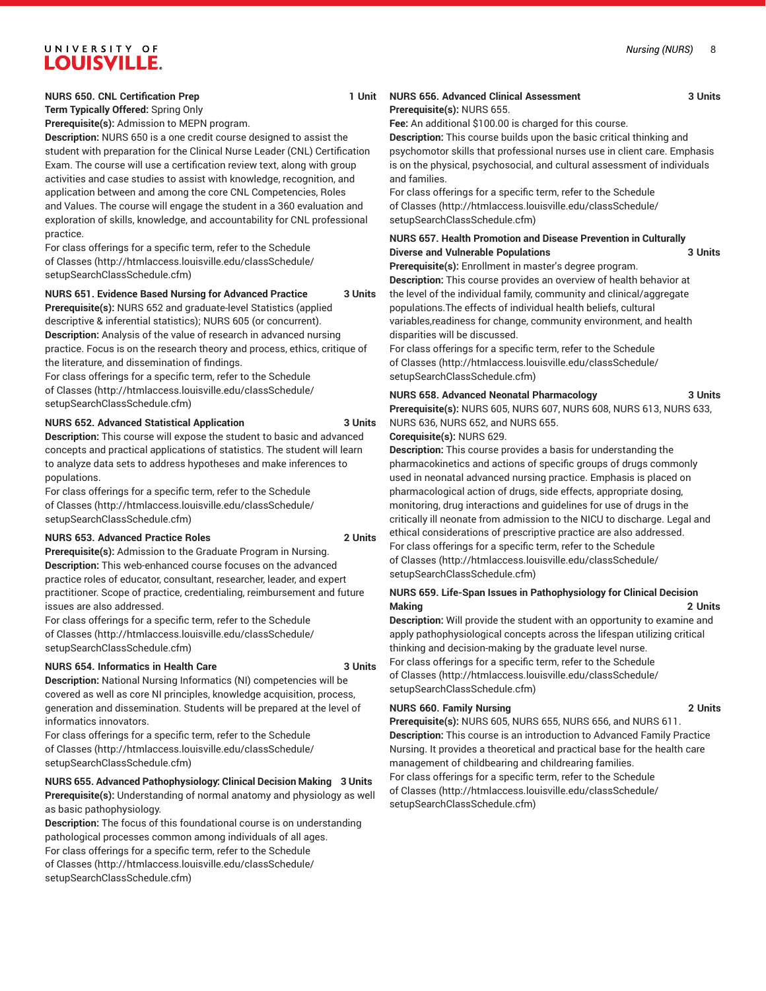**Term Typically Offered:** Spring Only **Prerequisite(s):** Admission to MEPN program.

**Description:** NURS 650 is a one credit course designed to assist the student with preparation for the Clinical Nurse Leader (CNL) Certification Exam. The course will use a certification review text, along with group activities and case studies to assist with knowledge, recognition, and application between and among the core CNL Competencies, Roles and Values. The course will engage the student in a 360 evaluation and exploration of skills, knowledge, and accountability for CNL professional practice.

For class offerings for a specific term, refer to the [Schedule](http://htmlaccess.louisville.edu/classSchedule/setupSearchClassSchedule.cfm) [of Classes \(http://htmlaccess.louisville.edu/classSchedule/](http://htmlaccess.louisville.edu/classSchedule/setupSearchClassSchedule.cfm) [setupSearchClassSchedule.cfm\)](http://htmlaccess.louisville.edu/classSchedule/setupSearchClassSchedule.cfm)

## **NURS 651. Evidence Based Nursing for Advanced Practice 3 Units**

**Prerequisite(s):** NURS 652 and graduate-level Statistics (applied descriptive & inferential statistics); NURS 605 (or concurrent). **Description:** Analysis of the value of research in advanced nursing practice. Focus is on the research theory and process, ethics, critique of the literature, and dissemination of findings.

For class offerings for a specific term, refer to the [Schedule](http://htmlaccess.louisville.edu/classSchedule/setupSearchClassSchedule.cfm) [of Classes \(http://htmlaccess.louisville.edu/classSchedule/](http://htmlaccess.louisville.edu/classSchedule/setupSearchClassSchedule.cfm) [setupSearchClassSchedule.cfm\)](http://htmlaccess.louisville.edu/classSchedule/setupSearchClassSchedule.cfm)

#### **NURS 652. Advanced Statistical Application 3 Units**

**Description:** This course will expose the student to basic and advanced concepts and practical applications of statistics. The student will learn to analyze data sets to address hypotheses and make inferences to populations.

For class offerings for a specific term, refer to the [Schedule](http://htmlaccess.louisville.edu/classSchedule/setupSearchClassSchedule.cfm) [of Classes \(http://htmlaccess.louisville.edu/classSchedule/](http://htmlaccess.louisville.edu/classSchedule/setupSearchClassSchedule.cfm) [setupSearchClassSchedule.cfm\)](http://htmlaccess.louisville.edu/classSchedule/setupSearchClassSchedule.cfm)

#### **NURS 653. Advanced Practice Roles 2 Units**

issues are also addressed.

**Prerequisite(s):** Admission to the Graduate Program in Nursing. **Description:** This web-enhanced course focuses on the advanced practice roles of educator, consultant, researcher, leader, and expert practitioner. Scope of practice, credentialing, reimbursement and future

For class offerings for a specific term, refer to the [Schedule](http://htmlaccess.louisville.edu/classSchedule/setupSearchClassSchedule.cfm) [of Classes \(http://htmlaccess.louisville.edu/classSchedule/](http://htmlaccess.louisville.edu/classSchedule/setupSearchClassSchedule.cfm) [setupSearchClassSchedule.cfm\)](http://htmlaccess.louisville.edu/classSchedule/setupSearchClassSchedule.cfm)

#### **NURS 654. Informatics in Health Care 3 Units**

**Description:** National Nursing Informatics (NI) competencies will be covered as well as core NI principles, knowledge acquisition, process, generation and dissemination. Students will be prepared at the level of informatics innovators.

For class offerings for a specific term, refer to the [Schedule](http://htmlaccess.louisville.edu/classSchedule/setupSearchClassSchedule.cfm) [of Classes \(http://htmlaccess.louisville.edu/classSchedule/](http://htmlaccess.louisville.edu/classSchedule/setupSearchClassSchedule.cfm) [setupSearchClassSchedule.cfm\)](http://htmlaccess.louisville.edu/classSchedule/setupSearchClassSchedule.cfm)

## **NURS 655. Advanced Pathophysiology: Clinical Decision Making 3 Units Prerequisite(s):** Understanding of normal anatomy and physiology as well as basic pathophysiology.

**Description:** The focus of this foundational course is on understanding pathological processes common among individuals of all ages. For class offerings for a specific term, refer to the [Schedule](http://htmlaccess.louisville.edu/classSchedule/setupSearchClassSchedule.cfm) [of Classes \(http://htmlaccess.louisville.edu/classSchedule/](http://htmlaccess.louisville.edu/classSchedule/setupSearchClassSchedule.cfm) [setupSearchClassSchedule.cfm\)](http://htmlaccess.louisville.edu/classSchedule/setupSearchClassSchedule.cfm)

## **NURS 656. Advanced Clinical Assessment 3 Units Prerequisite(s):** NURS 655.

**Fee:** An additional \$100.00 is charged for this course.

**Description:** This course builds upon the basic critical thinking and psychomotor skills that professional nurses use in client care. Emphasis is on the physical, psychosocial, and cultural assessment of individuals and families.

For class offerings for a specific term, refer to the [Schedule](http://htmlaccess.louisville.edu/classSchedule/setupSearchClassSchedule.cfm) [of Classes](http://htmlaccess.louisville.edu/classSchedule/setupSearchClassSchedule.cfm) ([http://htmlaccess.louisville.edu/classSchedule/](http://htmlaccess.louisville.edu/classSchedule/setupSearchClassSchedule.cfm) [setupSearchClassSchedule.cfm\)](http://htmlaccess.louisville.edu/classSchedule/setupSearchClassSchedule.cfm)

## **NURS 657. Health Promotion and Disease Prevention in Culturally Diverse and Vulnerable Populations 3 Units**

**Prerequisite(s):** Enrollment in master's degree program. **Description:** This course provides an overview of health behavior at the level of the individual family, community and clinical/aggregate populations.The effects of individual health beliefs, cultural variables,readiness for change, community environment, and health disparities will be discussed.

For class offerings for a specific term, refer to the [Schedule](http://htmlaccess.louisville.edu/classSchedule/setupSearchClassSchedule.cfm) [of Classes](http://htmlaccess.louisville.edu/classSchedule/setupSearchClassSchedule.cfm) ([http://htmlaccess.louisville.edu/classSchedule/](http://htmlaccess.louisville.edu/classSchedule/setupSearchClassSchedule.cfm) [setupSearchClassSchedule.cfm\)](http://htmlaccess.louisville.edu/classSchedule/setupSearchClassSchedule.cfm)

## **NURS 658. Advanced Neonatal Pharmacology 3 Units**

**Prerequisite(s):** NURS 605, NURS 607, NURS 608, NURS 613, NURS 633, NURS 636, NURS 652, and NURS 655.

## **Corequisite(s):** NURS 629.

**Description:** This course provides a basis for understanding the pharmacokinetics and actions of specific groups of drugs commonly used in neonatal advanced nursing practice. Emphasis is placed on pharmacological action of drugs, side effects, appropriate dosing, monitoring, drug interactions and guidelines for use of drugs in the critically ill neonate from admission to the NICU to discharge. Legal and ethical considerations of prescriptive practice are also addressed. For class offerings for a specific term, refer to the [Schedule](http://htmlaccess.louisville.edu/classSchedule/setupSearchClassSchedule.cfm) [of Classes](http://htmlaccess.louisville.edu/classSchedule/setupSearchClassSchedule.cfm) ([http://htmlaccess.louisville.edu/classSchedule/](http://htmlaccess.louisville.edu/classSchedule/setupSearchClassSchedule.cfm) [setupSearchClassSchedule.cfm\)](http://htmlaccess.louisville.edu/classSchedule/setupSearchClassSchedule.cfm)

## **NURS 659. Life-Span Issues in Pathophysiology for Clinical Decision Making 2 Units**

**Description:** Will provide the student with an opportunity to examine and apply pathophysiological concepts across the lifespan utilizing critical thinking and decision-making by the graduate level nurse. For class offerings for a specific term, refer to the [Schedule](http://htmlaccess.louisville.edu/classSchedule/setupSearchClassSchedule.cfm) [of Classes](http://htmlaccess.louisville.edu/classSchedule/setupSearchClassSchedule.cfm) ([http://htmlaccess.louisville.edu/classSchedule/](http://htmlaccess.louisville.edu/classSchedule/setupSearchClassSchedule.cfm) [setupSearchClassSchedule.cfm\)](http://htmlaccess.louisville.edu/classSchedule/setupSearchClassSchedule.cfm)

## **NURS 660. Family Nursing 2 Units**

**Prerequisite(s):** NURS 605, NURS 655, NURS 656, and NURS 611. **Description:** This course is an introduction to Advanced Family Practice Nursing. It provides a theoretical and practical base for the health care management of childbearing and childrearing families. For class offerings for a specific term, refer to the [Schedule](http://htmlaccess.louisville.edu/classSchedule/setupSearchClassSchedule.cfm) [of Classes](http://htmlaccess.louisville.edu/classSchedule/setupSearchClassSchedule.cfm) ([http://htmlaccess.louisville.edu/classSchedule/](http://htmlaccess.louisville.edu/classSchedule/setupSearchClassSchedule.cfm) [setupSearchClassSchedule.cfm\)](http://htmlaccess.louisville.edu/classSchedule/setupSearchClassSchedule.cfm)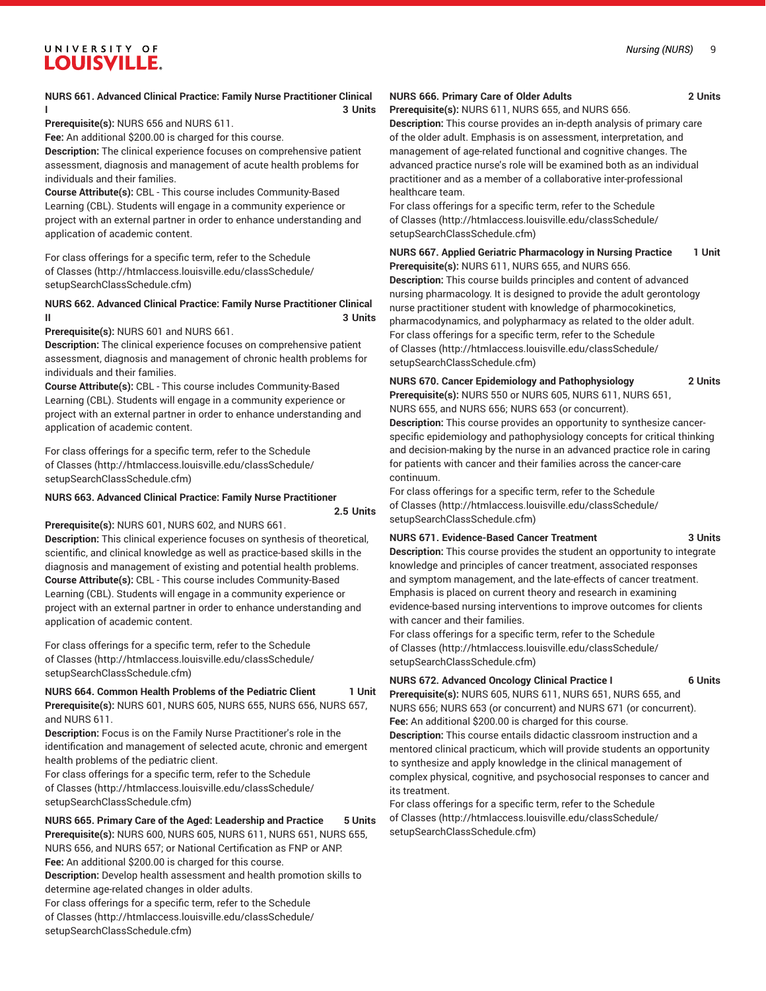## **NURS 661. Advanced Clinical Practice: Family Nurse Practitioner Clinical I 3 Units**

**Prerequisite(s):** NURS 656 and NURS 611.

**Fee:** An additional \$200.00 is charged for this course.

**Description:** The clinical experience focuses on comprehensive patient assessment, diagnosis and management of acute health problems for individuals and their families.

**Course Attribute(s):** CBL - This course includes Community-Based Learning (CBL). Students will engage in a community experience or project with an external partner in order to enhance understanding and application of academic content.

For class offerings for a specific term, refer to the [Schedule](http://htmlaccess.louisville.edu/classSchedule/setupSearchClassSchedule.cfm) [of Classes \(http://htmlaccess.louisville.edu/classSchedule/](http://htmlaccess.louisville.edu/classSchedule/setupSearchClassSchedule.cfm) [setupSearchClassSchedule.cfm\)](http://htmlaccess.louisville.edu/classSchedule/setupSearchClassSchedule.cfm)

## **NURS 662. Advanced Clinical Practice: Family Nurse Practitioner Clinical II 3 Units**

**Prerequisite(s):** NURS 601 and NURS 661.

**Description:** The clinical experience focuses on comprehensive patient assessment, diagnosis and management of chronic health problems for individuals and their families.

**Course Attribute(s):** CBL - This course includes Community-Based Learning (CBL). Students will engage in a community experience or project with an external partner in order to enhance understanding and application of academic content.

For class offerings for a specific term, refer to the [Schedule](http://htmlaccess.louisville.edu/classSchedule/setupSearchClassSchedule.cfm) [of Classes \(http://htmlaccess.louisville.edu/classSchedule/](http://htmlaccess.louisville.edu/classSchedule/setupSearchClassSchedule.cfm) [setupSearchClassSchedule.cfm\)](http://htmlaccess.louisville.edu/classSchedule/setupSearchClassSchedule.cfm)

#### **NURS 663. Advanced Clinical Practice: Family Nurse Practitioner**

**2.5 Units**

**Prerequisite(s):** NURS 601, NURS 602, and NURS 661.

**Description:** This clinical experience focuses on synthesis of theoretical, scientific, and clinical knowledge as well as practice-based skills in the diagnosis and management of existing and potential health problems. **Course Attribute(s):** CBL - This course includes Community-Based Learning (CBL). Students will engage in a community experience or project with an external partner in order to enhance understanding and application of academic content.

For class offerings for a specific term, refer to the [Schedule](http://htmlaccess.louisville.edu/classSchedule/setupSearchClassSchedule.cfm) [of Classes \(http://htmlaccess.louisville.edu/classSchedule/](http://htmlaccess.louisville.edu/classSchedule/setupSearchClassSchedule.cfm) [setupSearchClassSchedule.cfm\)](http://htmlaccess.louisville.edu/classSchedule/setupSearchClassSchedule.cfm)

# **NURS 664. Common Health Problems of the Pediatric Client 1 Unit**

**Prerequisite(s):** NURS 601, NURS 605, NURS 655, NURS 656, NURS 657, and NURS 611.

**Description:** Focus is on the Family Nurse Practitioner's role in the identification and management of selected acute, chronic and emergent health problems of the pediatric client.

For class offerings for a specific term, refer to the [Schedule](http://htmlaccess.louisville.edu/classSchedule/setupSearchClassSchedule.cfm) [of Classes \(http://htmlaccess.louisville.edu/classSchedule/](http://htmlaccess.louisville.edu/classSchedule/setupSearchClassSchedule.cfm) [setupSearchClassSchedule.cfm\)](http://htmlaccess.louisville.edu/classSchedule/setupSearchClassSchedule.cfm)

**NURS 665. Primary Care of the Aged: Leadership and Practice 5 Units Prerequisite(s):** NURS 600, NURS 605, NURS 611, NURS 651, NURS 655, NURS 656, and NURS 657; or National Certification as FNP or ANP. **Fee:** An additional \$200.00 is charged for this course. **Description:** Develop health assessment and health promotion skills to determine age-related changes in older adults. For class offerings for a specific term, refer to the [Schedule](http://htmlaccess.louisville.edu/classSchedule/setupSearchClassSchedule.cfm) [of Classes \(http://htmlaccess.louisville.edu/classSchedule/](http://htmlaccess.louisville.edu/classSchedule/setupSearchClassSchedule.cfm)

[setupSearchClassSchedule.cfm\)](http://htmlaccess.louisville.edu/classSchedule/setupSearchClassSchedule.cfm)

## **NURS 666. Primary Care of Older Adults 2 Units**

**Prerequisite(s):** NURS 611, NURS 655, and NURS 656.

**Description:** This course provides an in-depth analysis of primary care of the older adult. Emphasis is on assessment, interpretation, and management of age-related functional and cognitive changes. The advanced practice nurse's role will be examined both as an individual practitioner and as a member of a collaborative inter-professional healthcare team.

For class offerings for a specific term, refer to the [Schedule](http://htmlaccess.louisville.edu/classSchedule/setupSearchClassSchedule.cfm) [of Classes](http://htmlaccess.louisville.edu/classSchedule/setupSearchClassSchedule.cfm) ([http://htmlaccess.louisville.edu/classSchedule/](http://htmlaccess.louisville.edu/classSchedule/setupSearchClassSchedule.cfm) [setupSearchClassSchedule.cfm\)](http://htmlaccess.louisville.edu/classSchedule/setupSearchClassSchedule.cfm)

**NURS 667. Applied Geriatric Pharmacology in Nursing Practice 1 Unit Prerequisite(s):** NURS 611, NURS 655, and NURS 656.

**Description:** This course builds principles and content of advanced nursing pharmacology. It is designed to provide the adult gerontology nurse practitioner student with knowledge of pharmocokinetics, pharmacodynamics, and polypharmacy as related to the older adult. For class offerings for a specific term, refer to the [Schedule](http://htmlaccess.louisville.edu/classSchedule/setupSearchClassSchedule.cfm) [of Classes](http://htmlaccess.louisville.edu/classSchedule/setupSearchClassSchedule.cfm) ([http://htmlaccess.louisville.edu/classSchedule/](http://htmlaccess.louisville.edu/classSchedule/setupSearchClassSchedule.cfm) [setupSearchClassSchedule.cfm\)](http://htmlaccess.louisville.edu/classSchedule/setupSearchClassSchedule.cfm)

**NURS 670. Cancer Epidemiology and Pathophysiology 2 Units Prerequisite(s):** NURS 550 or NURS 605, NURS 611, NURS 651, NURS 655, and NURS 656; NURS 653 (or concurrent).

**Description:** This course provides an opportunity to synthesize cancerspecific epidemiology and pathophysiology concepts for critical thinking and decision-making by the nurse in an advanced practice role in caring for patients with cancer and their families across the cancer-care continuum.

For class offerings for a specific term, refer to the [Schedule](http://htmlaccess.louisville.edu/classSchedule/setupSearchClassSchedule.cfm) [of Classes](http://htmlaccess.louisville.edu/classSchedule/setupSearchClassSchedule.cfm) ([http://htmlaccess.louisville.edu/classSchedule/](http://htmlaccess.louisville.edu/classSchedule/setupSearchClassSchedule.cfm) [setupSearchClassSchedule.cfm\)](http://htmlaccess.louisville.edu/classSchedule/setupSearchClassSchedule.cfm)

#### **NURS 671. Evidence-Based Cancer Treatment 3 Units**

**Description:** This course provides the student an opportunity to integrate knowledge and principles of cancer treatment, associated responses and symptom management, and the late-effects of cancer treatment. Emphasis is placed on current theory and research in examining evidence-based nursing interventions to improve outcomes for clients with cancer and their families.

For class offerings for a specific term, refer to the [Schedule](http://htmlaccess.louisville.edu/classSchedule/setupSearchClassSchedule.cfm) [of Classes](http://htmlaccess.louisville.edu/classSchedule/setupSearchClassSchedule.cfm) ([http://htmlaccess.louisville.edu/classSchedule/](http://htmlaccess.louisville.edu/classSchedule/setupSearchClassSchedule.cfm) [setupSearchClassSchedule.cfm\)](http://htmlaccess.louisville.edu/classSchedule/setupSearchClassSchedule.cfm)

**NURS 672. Advanced Oncology Clinical Practice I 6 Units**

**Prerequisite(s):** NURS 605, NURS 611, NURS 651, NURS 655, and NURS 656; NURS 653 (or concurrent) and NURS 671 (or concurrent). **Fee:** An additional \$200.00 is charged for this course.

**Description:** This course entails didactic classroom instruction and a mentored clinical practicum, which will provide students an opportunity to synthesize and apply knowledge in the clinical management of complex physical, cognitive, and psychosocial responses to cancer and its treatment.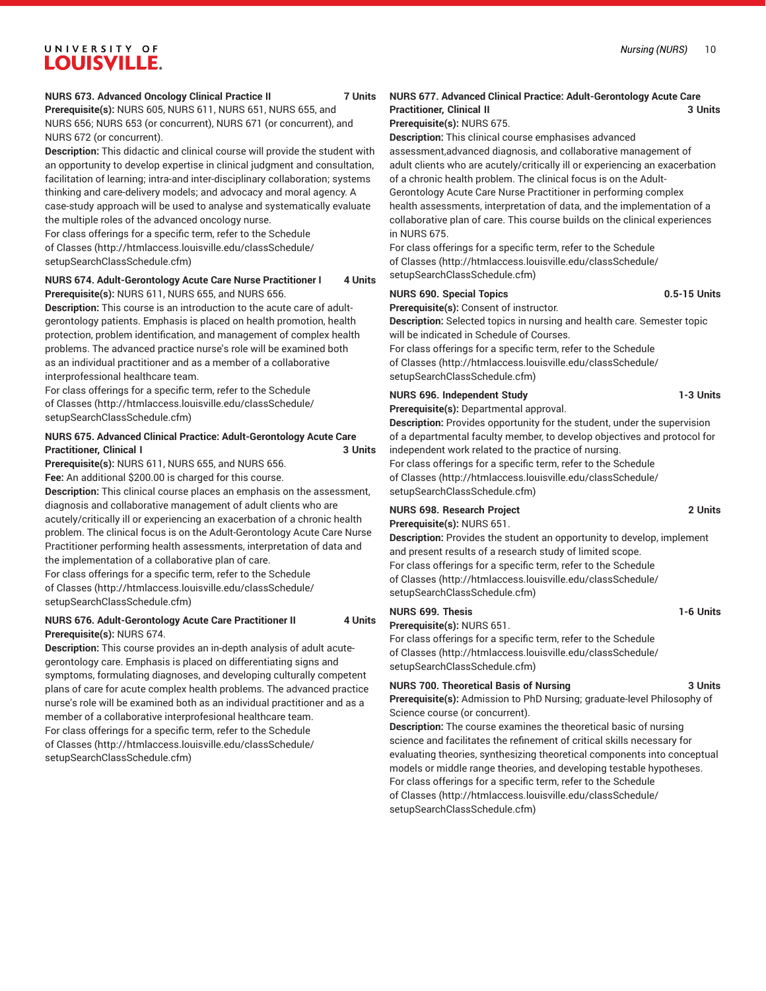#### **NURS 673. Advanced Oncology Clinical Practice II 7 Units**

**Prerequisite(s):** NURS 605, NURS 611, NURS 651, NURS 655, and NURS 656; NURS 653 (or concurrent), NURS 671 (or concurrent), and NURS 672 (or concurrent).

**Description:** This didactic and clinical course will provide the student with an opportunity to develop expertise in clinical judgment and consultation, facilitation of learning; intra-and inter-disciplinary collaboration; systems thinking and care-delivery models; and advocacy and moral agency. A case-study approach will be used to analyse and systematically evaluate the multiple roles of the advanced oncology nurse.

For class offerings for a specific term, refer to the [Schedule](http://htmlaccess.louisville.edu/classSchedule/setupSearchClassSchedule.cfm) [of Classes \(http://htmlaccess.louisville.edu/classSchedule/](http://htmlaccess.louisville.edu/classSchedule/setupSearchClassSchedule.cfm) [setupSearchClassSchedule.cfm\)](http://htmlaccess.louisville.edu/classSchedule/setupSearchClassSchedule.cfm)

#### **NURS 674. Adult-Gerontology Acute Care Nurse Practitioner I 4 Units Prerequisite(s):** NURS 611, NURS 655, and NURS 656.

**Description:** This course is an introduction to the acute care of adultgerontology patients. Emphasis is placed on health promotion, health protection, problem identification, and management of complex health problems. The advanced practice nurse's role will be examined both as an individual practitioner and as a member of a collaborative interprofessional healthcare team.

For class offerings for a specific term, refer to the [Schedule](http://htmlaccess.louisville.edu/classSchedule/setupSearchClassSchedule.cfm) [of Classes \(http://htmlaccess.louisville.edu/classSchedule/](http://htmlaccess.louisville.edu/classSchedule/setupSearchClassSchedule.cfm) [setupSearchClassSchedule.cfm\)](http://htmlaccess.louisville.edu/classSchedule/setupSearchClassSchedule.cfm)

## **NURS 675. Advanced Clinical Practice: Adult-Gerontology Acute Care Practitioner, Clinical I 3 Units**

**Prerequisite(s):** NURS 611, NURS 655, and NURS 656.

**Fee:** An additional \$200.00 is charged for this course.

**Description:** This clinical course places an emphasis on the assessment, diagnosis and collaborative management of adult clients who are acutely/critically ill or experiencing an exacerbation of a chronic health problem. The clinical focus is on the Adult-Gerontology Acute Care Nurse Practitioner performing health assessments, interpretation of data and the implementation of a collaborative plan of care.

For class offerings for a specific term, refer to the [Schedule](http://htmlaccess.louisville.edu/classSchedule/setupSearchClassSchedule.cfm) [of Classes \(http://htmlaccess.louisville.edu/classSchedule/](http://htmlaccess.louisville.edu/classSchedule/setupSearchClassSchedule.cfm) [setupSearchClassSchedule.cfm\)](http://htmlaccess.louisville.edu/classSchedule/setupSearchClassSchedule.cfm)

## **NURS 676. Adult-Gerontology Acute Care Practitioner II 4 Units Prerequisite(s):** NURS 674.

**Description:** This course provides an in-depth analysis of adult acutegerontology care. Emphasis is placed on differentiating signs and symptoms, formulating diagnoses, and developing culturally competent plans of care for acute complex health problems. The advanced practice nurse's role will be examined both as an individual practitioner and as a member of a collaborative interprofesional healthcare team. For class offerings for a specific term, refer to the [Schedule](http://htmlaccess.louisville.edu/classSchedule/setupSearchClassSchedule.cfm) [of Classes \(http://htmlaccess.louisville.edu/classSchedule/](http://htmlaccess.louisville.edu/classSchedule/setupSearchClassSchedule.cfm) [setupSearchClassSchedule.cfm\)](http://htmlaccess.louisville.edu/classSchedule/setupSearchClassSchedule.cfm)

## **NURS 677. Advanced Clinical Practice: Adult-Gerontology Acute Care Practitioner, Clinical II 3 Units**

## **Prerequisite(s):** NURS 675.

**Description:** This clinical course emphasises advanced

assessment,advanced diagnosis, and collaborative management of adult clients who are acutely/critically ill or experiencing an exacerbation of a chronic health problem. The clinical focus is on the Adult-

Gerontology Acute Care Nurse Practitioner in performing complex health assessments, interpretation of data, and the implementation of a collaborative plan of care. This course builds on the clinical experiences in NURS 675.

For class offerings for a specific term, refer to the [Schedule](http://htmlaccess.louisville.edu/classSchedule/setupSearchClassSchedule.cfm) [of Classes](http://htmlaccess.louisville.edu/classSchedule/setupSearchClassSchedule.cfm) ([http://htmlaccess.louisville.edu/classSchedule/](http://htmlaccess.louisville.edu/classSchedule/setupSearchClassSchedule.cfm) [setupSearchClassSchedule.cfm\)](http://htmlaccess.louisville.edu/classSchedule/setupSearchClassSchedule.cfm)

## **NURS 690. Special Topics 0.5-15 Units**

**Prerequisite(s):** Consent of instructor. **Description:** Selected topics in nursing and health care. Semester topic

will be indicated in Schedule of Courses.

For class offerings for a specific term, refer to the [Schedule](http://htmlaccess.louisville.edu/classSchedule/setupSearchClassSchedule.cfm) [of Classes](http://htmlaccess.louisville.edu/classSchedule/setupSearchClassSchedule.cfm) ([http://htmlaccess.louisville.edu/classSchedule/](http://htmlaccess.louisville.edu/classSchedule/setupSearchClassSchedule.cfm) [setupSearchClassSchedule.cfm\)](http://htmlaccess.louisville.edu/classSchedule/setupSearchClassSchedule.cfm)

## **NURS 696. Independent Study 1-3 Units**

**Prerequisite(s):** Departmental approval.

**Description:** Provides opportunity for the student, under the supervision of a departmental faculty member, to develop objectives and protocol for independent work related to the practice of nursing. For class offerings for a specific term, refer to the [Schedule](http://htmlaccess.louisville.edu/classSchedule/setupSearchClassSchedule.cfm) [of Classes](http://htmlaccess.louisville.edu/classSchedule/setupSearchClassSchedule.cfm) ([http://htmlaccess.louisville.edu/classSchedule/](http://htmlaccess.louisville.edu/classSchedule/setupSearchClassSchedule.cfm) [setupSearchClassSchedule.cfm\)](http://htmlaccess.louisville.edu/classSchedule/setupSearchClassSchedule.cfm)

# **NURS 698. Research Project 2 Units**

**Prerequisite(s):** NURS 651. **Description:** Provides the student an opportunity to develop, implement

and present results of a research study of limited scope. For class offerings for a specific term, refer to the [Schedule](http://htmlaccess.louisville.edu/classSchedule/setupSearchClassSchedule.cfm) [of Classes](http://htmlaccess.louisville.edu/classSchedule/setupSearchClassSchedule.cfm) ([http://htmlaccess.louisville.edu/classSchedule/](http://htmlaccess.louisville.edu/classSchedule/setupSearchClassSchedule.cfm) [setupSearchClassSchedule.cfm\)](http://htmlaccess.louisville.edu/classSchedule/setupSearchClassSchedule.cfm)

## **NURS 699. Thesis 1-6 Units**

**Prerequisite(s):** NURS 651.

For class offerings for a specific term, refer to the [Schedule](http://htmlaccess.louisville.edu/classSchedule/setupSearchClassSchedule.cfm) [of Classes](http://htmlaccess.louisville.edu/classSchedule/setupSearchClassSchedule.cfm) ([http://htmlaccess.louisville.edu/classSchedule/](http://htmlaccess.louisville.edu/classSchedule/setupSearchClassSchedule.cfm) [setupSearchClassSchedule.cfm\)](http://htmlaccess.louisville.edu/classSchedule/setupSearchClassSchedule.cfm)

## **NURS 700. Theoretical Basis of Nursing 3 Units**

**Prerequisite(s):** Admission to PhD Nursing; graduate-level Philosophy of Science course (or concurrent).

**Description:** The course examines the theoretical basic of nursing science and facilitates the refinement of critical skills necessary for evaluating theories, synthesizing theoretical components into conceptual models or middle range theories, and developing testable hypotheses. For class offerings for a specific term, refer to the [Schedule](http://htmlaccess.louisville.edu/classSchedule/setupSearchClassSchedule.cfm) [of Classes](http://htmlaccess.louisville.edu/classSchedule/setupSearchClassSchedule.cfm) ([http://htmlaccess.louisville.edu/classSchedule/](http://htmlaccess.louisville.edu/classSchedule/setupSearchClassSchedule.cfm) [setupSearchClassSchedule.cfm\)](http://htmlaccess.louisville.edu/classSchedule/setupSearchClassSchedule.cfm)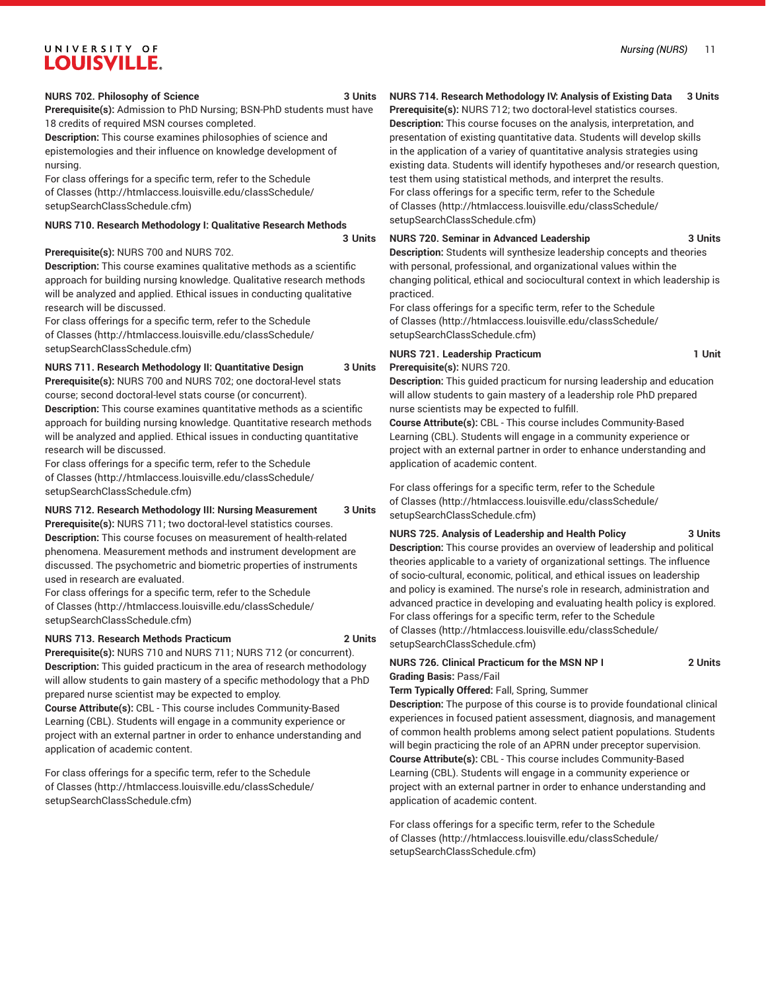#### **NURS 702. Philosophy of Science 3 Units**

**Prerequisite(s):** Admission to PhD Nursing; BSN-PhD students must have 18 credits of required MSN courses completed.

**Description:** This course examines philosophies of science and epistemologies and their influence on knowledge development of nursing.

For class offerings for a specific term, refer to the [Schedule](http://htmlaccess.louisville.edu/classSchedule/setupSearchClassSchedule.cfm) [of Classes \(http://htmlaccess.louisville.edu/classSchedule/](http://htmlaccess.louisville.edu/classSchedule/setupSearchClassSchedule.cfm) [setupSearchClassSchedule.cfm\)](http://htmlaccess.louisville.edu/classSchedule/setupSearchClassSchedule.cfm)

### **NURS 710. Research Methodology I: Qualitative Research Methods**

**3 Units**

### **Prerequisite(s):** NURS 700 and NURS 702.

**Description:** This course examines qualitative methods as a scientific approach for building nursing knowledge. Qualitative research methods will be analyzed and applied. Ethical issues in conducting qualitative research will be discussed.

For class offerings for a specific term, refer to the [Schedule](http://htmlaccess.louisville.edu/classSchedule/setupSearchClassSchedule.cfm) [of Classes \(http://htmlaccess.louisville.edu/classSchedule/](http://htmlaccess.louisville.edu/classSchedule/setupSearchClassSchedule.cfm) [setupSearchClassSchedule.cfm\)](http://htmlaccess.louisville.edu/classSchedule/setupSearchClassSchedule.cfm)

#### **NURS 711. Research Methodology II: Quantitative Design 3 Units**

**Prerequisite(s):** NURS 700 and NURS 702; one doctoral-level stats

course; second doctoral-level stats course (or concurrent). **Description:** This course examines quantitative methods as a scientific approach for building nursing knowledge. Quantitative research methods will be analyzed and applied. Ethical issues in conducting quantitative research will be discussed.

For class offerings for a specific term, refer to the [Schedule](http://htmlaccess.louisville.edu/classSchedule/setupSearchClassSchedule.cfm) [of Classes \(http://htmlaccess.louisville.edu/classSchedule/](http://htmlaccess.louisville.edu/classSchedule/setupSearchClassSchedule.cfm) [setupSearchClassSchedule.cfm\)](http://htmlaccess.louisville.edu/classSchedule/setupSearchClassSchedule.cfm)

#### **NURS 712. Research Methodology III: Nursing Measurement 3 Units**

**Prerequisite(s):** NURS 711; two doctoral-level statistics courses. **Description:** This course focuses on measurement of health-related phenomena. Measurement methods and instrument development are discussed. The psychometric and biometric properties of instruments used in research are evaluated.

For class offerings for a specific term, refer to the [Schedule](http://htmlaccess.louisville.edu/classSchedule/setupSearchClassSchedule.cfm) [of Classes \(http://htmlaccess.louisville.edu/classSchedule/](http://htmlaccess.louisville.edu/classSchedule/setupSearchClassSchedule.cfm) [setupSearchClassSchedule.cfm\)](http://htmlaccess.louisville.edu/classSchedule/setupSearchClassSchedule.cfm)

#### **NURS 713. Research Methods Practicum 2 Units**

**Prerequisite(s):** NURS 710 and NURS 711; NURS 712 (or concurrent). **Description:** This guided practicum in the area of research methodology will allow students to gain mastery of a specific methodology that a PhD prepared nurse scientist may be expected to employ.

**Course Attribute(s):** CBL - This course includes Community-Based Learning (CBL). Students will engage in a community experience or project with an external partner in order to enhance understanding and application of academic content.

For class offerings for a specific term, refer to the [Schedule](http://htmlaccess.louisville.edu/classSchedule/setupSearchClassSchedule.cfm) [of Classes \(http://htmlaccess.louisville.edu/classSchedule/](http://htmlaccess.louisville.edu/classSchedule/setupSearchClassSchedule.cfm) [setupSearchClassSchedule.cfm\)](http://htmlaccess.louisville.edu/classSchedule/setupSearchClassSchedule.cfm)

## **NURS 714. Research Methodology IV: Analysis of Existing Data 3 Units**

**Prerequisite(s):** NURS 712; two doctoral-level statistics courses. **Description:** This course focuses on the analysis, interpretation, and presentation of existing quantitative data. Students will develop skills in the application of a variey of quantitative analysis strategies using existing data. Students will identify hypotheses and/or research question, test them using statistical methods, and interpret the results. For class offerings for a specific term, refer to the [Schedule](http://htmlaccess.louisville.edu/classSchedule/setupSearchClassSchedule.cfm) [of Classes](http://htmlaccess.louisville.edu/classSchedule/setupSearchClassSchedule.cfm) ([http://htmlaccess.louisville.edu/classSchedule/](http://htmlaccess.louisville.edu/classSchedule/setupSearchClassSchedule.cfm) [setupSearchClassSchedule.cfm\)](http://htmlaccess.louisville.edu/classSchedule/setupSearchClassSchedule.cfm)

## **NURS 720. Seminar in Advanced Leadership 3 Units**

**Description:** Students will synthesize leadership concepts and theories with personal, professional, and organizational values within the changing political, ethical and sociocultural context in which leadership is practiced.

For class offerings for a specific term, refer to the [Schedule](http://htmlaccess.louisville.edu/classSchedule/setupSearchClassSchedule.cfm) [of Classes](http://htmlaccess.louisville.edu/classSchedule/setupSearchClassSchedule.cfm) ([http://htmlaccess.louisville.edu/classSchedule/](http://htmlaccess.louisville.edu/classSchedule/setupSearchClassSchedule.cfm) [setupSearchClassSchedule.cfm\)](http://htmlaccess.louisville.edu/classSchedule/setupSearchClassSchedule.cfm)

## **NURS 721. Leadership Practicum 1 Unit Prerequisite(s):** NURS 720.

**Description:** This guided practicum for nursing leadership and education will allow students to gain mastery of a leadership role PhD prepared nurse scientists may be expected to fulfill.

**Course Attribute(s):** CBL - This course includes Community-Based Learning (CBL). Students will engage in a community experience or project with an external partner in order to enhance understanding and application of academic content.

For class offerings for a specific term, refer to the [Schedule](http://htmlaccess.louisville.edu/classSchedule/setupSearchClassSchedule.cfm) [of Classes](http://htmlaccess.louisville.edu/classSchedule/setupSearchClassSchedule.cfm) ([http://htmlaccess.louisville.edu/classSchedule/](http://htmlaccess.louisville.edu/classSchedule/setupSearchClassSchedule.cfm) [setupSearchClassSchedule.cfm\)](http://htmlaccess.louisville.edu/classSchedule/setupSearchClassSchedule.cfm)

#### **NURS 725. Analysis of Leadership and Health Policy 3 Units**

**Description:** This course provides an overview of leadership and political theories applicable to a variety of organizational settings. The influence of socio-cultural, economic, political, and ethical issues on leadership and policy is examined. The nurse's role in research, administration and advanced practice in developing and evaluating health policy is explored. For class offerings for a specific term, refer to the [Schedule](http://htmlaccess.louisville.edu/classSchedule/setupSearchClassSchedule.cfm) [of Classes](http://htmlaccess.louisville.edu/classSchedule/setupSearchClassSchedule.cfm) ([http://htmlaccess.louisville.edu/classSchedule/](http://htmlaccess.louisville.edu/classSchedule/setupSearchClassSchedule.cfm) [setupSearchClassSchedule.cfm\)](http://htmlaccess.louisville.edu/classSchedule/setupSearchClassSchedule.cfm)

## **NURS 726. Clinical Practicum for the MSN NP I 2 Units Grading Basis:** Pass/Fail

**Term Typically Offered:** Fall, Spring, Summer

**Description:** The purpose of this course is to provide foundational clinical experiences in focused patient assessment, diagnosis, and management of common health problems among select patient populations. Students will begin practicing the role of an APRN under preceptor supervision. **Course Attribute(s):** CBL - This course includes Community-Based Learning (CBL). Students will engage in a community experience or project with an external partner in order to enhance understanding and application of academic content.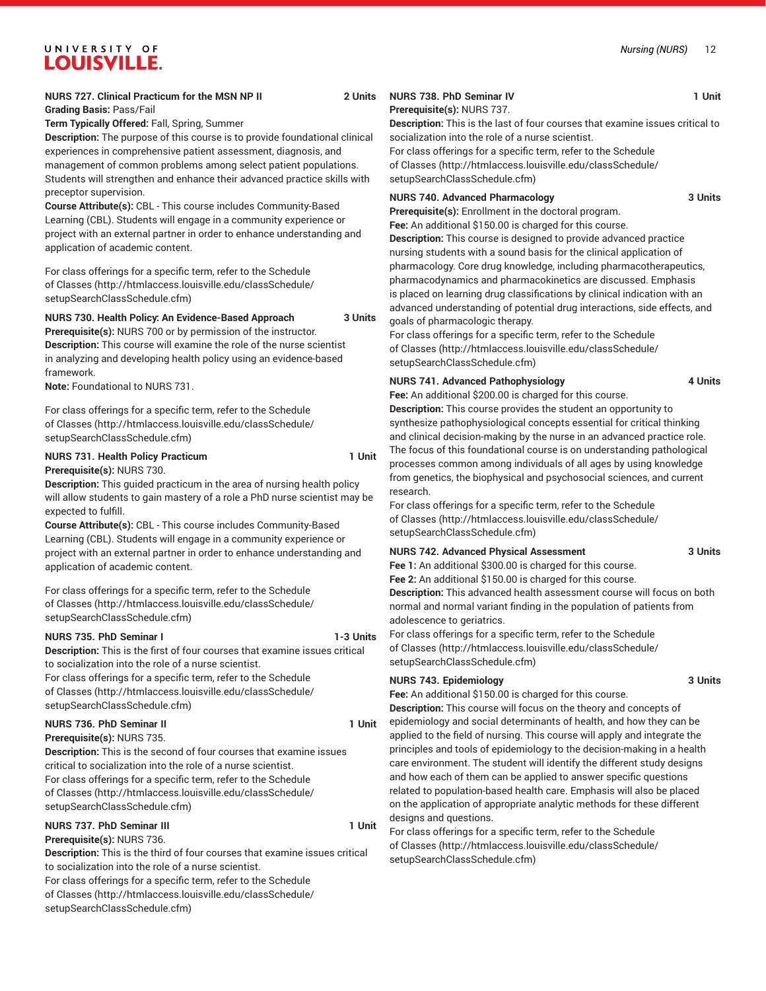**Term Typically Offered:** Fall, Spring, Summer

**Description:** The purpose of this course is to provide foundational clinical experiences in comprehensive patient assessment, diagnosis, and management of common problems among select patient populations. Students will strengthen and enhance their advanced practice skills with preceptor supervision.

**Course Attribute(s):** CBL - This course includes Community-Based Learning (CBL). Students will engage in a community experience or project with an external partner in order to enhance understanding and application of academic content.

For class offerings for a specific term, refer to the [Schedule](http://htmlaccess.louisville.edu/classSchedule/setupSearchClassSchedule.cfm) [of Classes \(http://htmlaccess.louisville.edu/classSchedule/](http://htmlaccess.louisville.edu/classSchedule/setupSearchClassSchedule.cfm) [setupSearchClassSchedule.cfm\)](http://htmlaccess.louisville.edu/classSchedule/setupSearchClassSchedule.cfm)

## **NURS 730. Health Policy: An Evidence-Based Approach 3 Units**

**Prerequisite(s):** NURS 700 or by permission of the instructor. **Description:** This course will examine the role of the nurse scientist in analyzing and developing health policy using an evidence-based framework.

**Note:** Foundational to NURS 731.

For class offerings for a specific term, refer to the [Schedule](http://htmlaccess.louisville.edu/classSchedule/setupSearchClassSchedule.cfm) [of Classes \(http://htmlaccess.louisville.edu/classSchedule/](http://htmlaccess.louisville.edu/classSchedule/setupSearchClassSchedule.cfm) [setupSearchClassSchedule.cfm\)](http://htmlaccess.louisville.edu/classSchedule/setupSearchClassSchedule.cfm)

# **NURS 731. Health Policy Practicum 1 Unit**

**Prerequisite(s):** NURS 730. **Description:** This guided practicum in the area of nursing health policy will allow students to gain mastery of a role a PhD nurse scientist may be expected to fulfill.

**Course Attribute(s):** CBL - This course includes Community-Based Learning (CBL). Students will engage in a community experience or project with an external partner in order to enhance understanding and application of academic content.

For class offerings for a specific term, refer to the [Schedule](http://htmlaccess.louisville.edu/classSchedule/setupSearchClassSchedule.cfm) [of Classes \(http://htmlaccess.louisville.edu/classSchedule/](http://htmlaccess.louisville.edu/classSchedule/setupSearchClassSchedule.cfm) [setupSearchClassSchedule.cfm\)](http://htmlaccess.louisville.edu/classSchedule/setupSearchClassSchedule.cfm)

#### **NURS 735. PhD Seminar I 1-3 Units**

**Description:** This is the first of four courses that examine issues critical to socialization into the role of a nurse scientist. For class offerings for a specific term, refer to the [Schedule](http://htmlaccess.louisville.edu/classSchedule/setupSearchClassSchedule.cfm) [of Classes \(http://htmlaccess.louisville.edu/classSchedule/](http://htmlaccess.louisville.edu/classSchedule/setupSearchClassSchedule.cfm) [setupSearchClassSchedule.cfm\)](http://htmlaccess.louisville.edu/classSchedule/setupSearchClassSchedule.cfm)

# **NURS 736. PhD Seminar II 1 Unit**

#### **Prerequisite(s):** NURS 735.

**Description:** This is the second of four courses that examine issues critical to socialization into the role of a nurse scientist. For class offerings for a specific term, refer to the [Schedule](http://htmlaccess.louisville.edu/classSchedule/setupSearchClassSchedule.cfm) [of Classes \(http://htmlaccess.louisville.edu/classSchedule/](http://htmlaccess.louisville.edu/classSchedule/setupSearchClassSchedule.cfm) [setupSearchClassSchedule.cfm\)](http://htmlaccess.louisville.edu/classSchedule/setupSearchClassSchedule.cfm)

#### **NURS 737. PhD Seminar III** 1 Unit **Prerequisite(s):** NURS 736.

**Description:** This is the third of four courses that examine issues critical to socialization into the role of a nurse scientist.

For class offerings for a specific term, refer to the [Schedule](http://htmlaccess.louisville.edu/classSchedule/setupSearchClassSchedule.cfm) [of Classes \(http://htmlaccess.louisville.edu/classSchedule/](http://htmlaccess.louisville.edu/classSchedule/setupSearchClassSchedule.cfm) [setupSearchClassSchedule.cfm\)](http://htmlaccess.louisville.edu/classSchedule/setupSearchClassSchedule.cfm)

## **NURS 738. PhD Seminar IV 1 Unit**

**Prerequisite(s):** NURS 737. **Description:** This is the last of four courses that examine issues critical to

socialization into the role of a nurse scientist.

For class offerings for a specific term, refer to the [Schedule](http://htmlaccess.louisville.edu/classSchedule/setupSearchClassSchedule.cfm) [of Classes](http://htmlaccess.louisville.edu/classSchedule/setupSearchClassSchedule.cfm) ([http://htmlaccess.louisville.edu/classSchedule/](http://htmlaccess.louisville.edu/classSchedule/setupSearchClassSchedule.cfm) [setupSearchClassSchedule.cfm\)](http://htmlaccess.louisville.edu/classSchedule/setupSearchClassSchedule.cfm)

## **NURS 740. Advanced Pharmacology 3 Units**

**Prerequisite(s):** Enrollment in the doctoral program.

**Fee:** An additional \$150.00 is charged for this course. **Description:** This course is designed to provide advanced practice nursing students with a sound basis for the clinical application of pharmacology. Core drug knowledge, including pharmacotherapeutics, pharmacodynamics and pharmacokinetics are discussed. Emphasis is placed on learning drug classifications by clinical indication with an advanced understanding of potential drug interactions, side effects, and goals of pharmacologic therapy.

For class offerings for a specific term, refer to the [Schedule](http://htmlaccess.louisville.edu/classSchedule/setupSearchClassSchedule.cfm) [of Classes](http://htmlaccess.louisville.edu/classSchedule/setupSearchClassSchedule.cfm) ([http://htmlaccess.louisville.edu/classSchedule/](http://htmlaccess.louisville.edu/classSchedule/setupSearchClassSchedule.cfm) [setupSearchClassSchedule.cfm\)](http://htmlaccess.louisville.edu/classSchedule/setupSearchClassSchedule.cfm)

## **NURS 741. Advanced Pathophysiology 4 Units**

**Fee:** An additional \$200.00 is charged for this course.

**Description:** This course provides the student an opportunity to synthesize pathophysiological concepts essential for critical thinking and clinical decision-making by the nurse in an advanced practice role. The focus of this foundational course is on understanding pathological processes common among individuals of all ages by using knowledge from genetics, the biophysical and psychosocial sciences, and current research.

For class offerings for a specific term, refer to the [Schedule](http://htmlaccess.louisville.edu/classSchedule/setupSearchClassSchedule.cfm) [of Classes](http://htmlaccess.louisville.edu/classSchedule/setupSearchClassSchedule.cfm) ([http://htmlaccess.louisville.edu/classSchedule/](http://htmlaccess.louisville.edu/classSchedule/setupSearchClassSchedule.cfm) [setupSearchClassSchedule.cfm\)](http://htmlaccess.louisville.edu/classSchedule/setupSearchClassSchedule.cfm)

## **NURS 742. Advanced Physical Assessment 3 Units**

**Fee 1:** An additional \$300.00 is charged for this course.

**Fee 2:** An additional \$150.00 is charged for this course. **Description:** This advanced health assessment course will focus on both normal and normal variant finding in the population of patients from adolescence to geriatrics.

For class offerings for a specific term, refer to the [Schedule](http://htmlaccess.louisville.edu/classSchedule/setupSearchClassSchedule.cfm) [of Classes](http://htmlaccess.louisville.edu/classSchedule/setupSearchClassSchedule.cfm) ([http://htmlaccess.louisville.edu/classSchedule/](http://htmlaccess.louisville.edu/classSchedule/setupSearchClassSchedule.cfm) [setupSearchClassSchedule.cfm\)](http://htmlaccess.louisville.edu/classSchedule/setupSearchClassSchedule.cfm)

## **NURS 743. Epidemiology 3 Units**

**Fee:** An additional \$150.00 is charged for this course.

**Description:** This course will focus on the theory and concepts of epidemiology and social determinants of health, and how they can be applied to the field of nursing. This course will apply and integrate the principles and tools of epidemiology to the decision-making in a health care environment. The student will identify the different study designs and how each of them can be applied to answer specific questions related to population-based health care. Emphasis will also be placed on the application of appropriate analytic methods for these different designs and questions.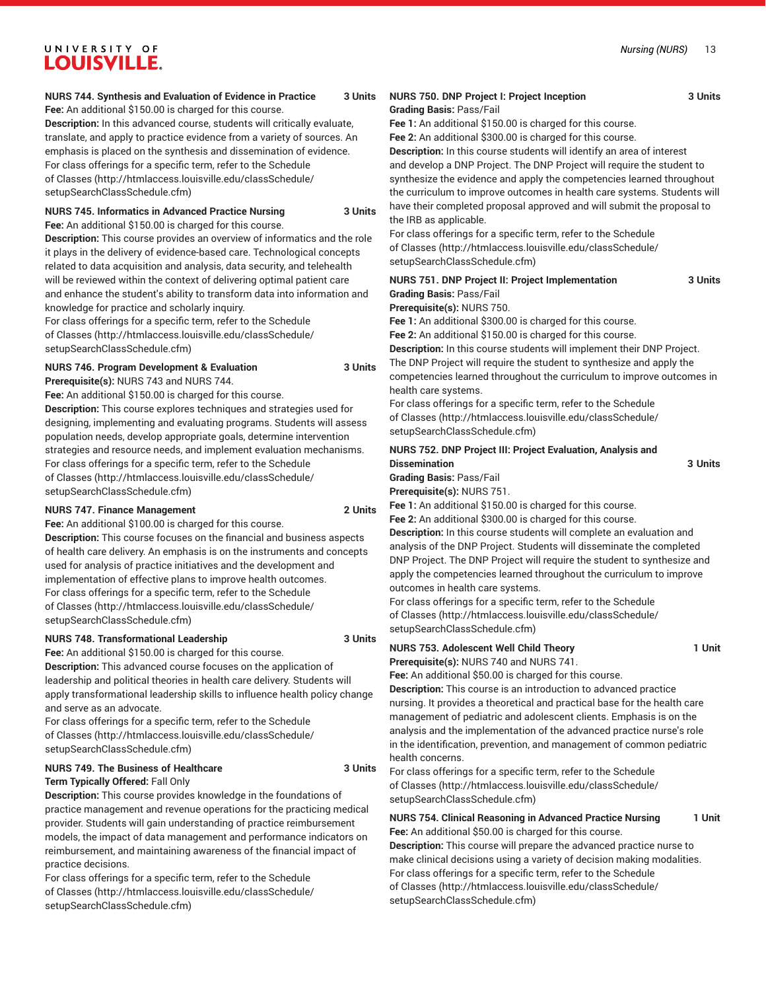## *Nursing (NURS)* 13

# UNIVERSITY OF **LOUISVILLE.**

## **NURS 744. Synthesis and Evaluation of Evidence in Practice 3 Units**

Fee: An additional \$150.00 is charged for this course.

**Description:** In this advanced course, students will critically evaluate, translate, and apply to practice evidence from a variety of sources. An emphasis is placed on the synthesis and dissemination of evidence. For class offerings for a specific term, refer to the [Schedule](http://htmlaccess.louisville.edu/classSchedule/setupSearchClassSchedule.cfm) [of Classes \(http://htmlaccess.louisville.edu/classSchedule/](http://htmlaccess.louisville.edu/classSchedule/setupSearchClassSchedule.cfm) [setupSearchClassSchedule.cfm\)](http://htmlaccess.louisville.edu/classSchedule/setupSearchClassSchedule.cfm)

#### **NURS 745. Informatics in Advanced Practice Nursing 3 Units Fee:** An additional \$150.00 is charged for this course.

**Description:** This course provides an overview of informatics and the role it plays in the delivery of evidence-based care. Technological concepts related to data acquisition and analysis, data security, and telehealth will be reviewed within the context of delivering optimal patient care and enhance the student's ability to transform data into information and knowledge for practice and scholarly inquiry.

For class offerings for a specific term, refer to the [Schedule](http://htmlaccess.louisville.edu/classSchedule/setupSearchClassSchedule.cfm) [of Classes \(http://htmlaccess.louisville.edu/classSchedule/](http://htmlaccess.louisville.edu/classSchedule/setupSearchClassSchedule.cfm) [setupSearchClassSchedule.cfm\)](http://htmlaccess.louisville.edu/classSchedule/setupSearchClassSchedule.cfm)

**NURS 746. Program Development & Evaluation 3 Units**

**Prerequisite(s):** NURS 743 and NURS 744.

**Fee:** An additional \$150.00 is charged for this course.

**Description:** This course explores techniques and strategies used for designing, implementing and evaluating programs. Students will assess population needs, develop appropriate goals, determine intervention strategies and resource needs, and implement evaluation mechanisms. For class offerings for a specific term, refer to the [Schedule](http://htmlaccess.louisville.edu/classSchedule/setupSearchClassSchedule.cfm) [of Classes \(http://htmlaccess.louisville.edu/classSchedule/](http://htmlaccess.louisville.edu/classSchedule/setupSearchClassSchedule.cfm) [setupSearchClassSchedule.cfm\)](http://htmlaccess.louisville.edu/classSchedule/setupSearchClassSchedule.cfm)

## **NURS 747. Finance Management 2 Units**

**Fee:** An additional \$100.00 is charged for this course.

**Description:** This course focuses on the financial and business aspects of health care delivery. An emphasis is on the instruments and concepts used for analysis of practice initiatives and the development and implementation of effective plans to improve health outcomes. For class offerings for a specific term, refer to the [Schedule](http://htmlaccess.louisville.edu/classSchedule/setupSearchClassSchedule.cfm) [of Classes \(http://htmlaccess.louisville.edu/classSchedule/](http://htmlaccess.louisville.edu/classSchedule/setupSearchClassSchedule.cfm) [setupSearchClassSchedule.cfm\)](http://htmlaccess.louisville.edu/classSchedule/setupSearchClassSchedule.cfm)

## **NURS 748. Transformational Leadership 3 Units**

**Fee:** An additional \$150.00 is charged for this course. **Description:** This advanced course focuses on the application of leadership and political theories in health care delivery. Students will apply transformational leadership skills to influence health policy change and serve as an advocate.

For class offerings for a specific term, refer to the [Schedule](http://htmlaccess.louisville.edu/classSchedule/setupSearchClassSchedule.cfm) [of Classes \(http://htmlaccess.louisville.edu/classSchedule/](http://htmlaccess.louisville.edu/classSchedule/setupSearchClassSchedule.cfm) [setupSearchClassSchedule.cfm\)](http://htmlaccess.louisville.edu/classSchedule/setupSearchClassSchedule.cfm)

## **NURS 749. The Business of Healthcare 3 Units**

**Term Typically Offered:** Fall Only

**Description:** This course provides knowledge in the foundations of practice management and revenue operations for the practicing medical provider. Students will gain understanding of practice reimbursement models, the impact of data management and performance indicators on reimbursement, and maintaining awareness of the financial impact of practice decisions.

For class offerings for a specific term, refer to the [Schedule](http://htmlaccess.louisville.edu/classSchedule/setupSearchClassSchedule.cfm) [of Classes \(http://htmlaccess.louisville.edu/classSchedule/](http://htmlaccess.louisville.edu/classSchedule/setupSearchClassSchedule.cfm) [setupSearchClassSchedule.cfm\)](http://htmlaccess.louisville.edu/classSchedule/setupSearchClassSchedule.cfm)

#### **NURS 750. DNP Project I: Project Inception 3 Units Grading Basis:** Pass/Fail

**Fee 1:** An additional \$150.00 is charged for this course.

**Fee 2:** An additional \$300.00 is charged for this course.

**Description:** In this course students will identify an area of interest and develop a DNP Project. The DNP Project will require the student to synthesize the evidence and apply the competencies learned throughout the curriculum to improve outcomes in health care systems. Students will have their completed proposal approved and will submit the proposal to the IRB as applicable.

For class offerings for a specific term, refer to the [Schedule](http://htmlaccess.louisville.edu/classSchedule/setupSearchClassSchedule.cfm) [of Classes](http://htmlaccess.louisville.edu/classSchedule/setupSearchClassSchedule.cfm) ([http://htmlaccess.louisville.edu/classSchedule/](http://htmlaccess.louisville.edu/classSchedule/setupSearchClassSchedule.cfm) [setupSearchClassSchedule.cfm\)](http://htmlaccess.louisville.edu/classSchedule/setupSearchClassSchedule.cfm)

| <b>NURS 751. DNP Project II: Project Implementation</b>                | 3 Units |
|------------------------------------------------------------------------|---------|
| Grading Basis: Pass/Fail                                               |         |
| Prerequisite(s): NURS 750.                                             |         |
| Fee 1: An additional \$300.00 is charged for this course.              |         |
| Fee 2: An additional \$150.00 is charged for this course.              |         |
| Description: In this course students will implement their DNP Project. |         |
| The DNP Project will require the student to synthesize and apply the   |         |
| competencies learned throughout the curriculum to improve outcomes in  |         |
| health care systems.                                                   |         |
| For class offerings for a specific term, refer to the Schedule         |         |
| of Classes (http://htmlaccess.louisville.edu/classSchedule/            |         |
|                                                                        |         |

[setupSearchClassSchedule.cfm\)](http://htmlaccess.louisville.edu/classSchedule/setupSearchClassSchedule.cfm)

## **NURS 752. DNP Project III: Project Evaluation, Analysis and Dissemination 3 Units**

**Grading Basis:** Pass/Fail

**Prerequisite(s):** NURS 751.

**Fee 1:** An additional \$150.00 is charged for this course.

**Fee 2:** An additional \$300.00 is charged for this course.

**Description:** In this course students will complete an evaluation and analysis of the DNP Project. Students will disseminate the completed DNP Project. The DNP Project will require the student to synthesize and apply the competencies learned throughout the curriculum to improve outcomes in health care systems.

For class offerings for a specific term, refer to the [Schedule](http://htmlaccess.louisville.edu/classSchedule/setupSearchClassSchedule.cfm) [of Classes](http://htmlaccess.louisville.edu/classSchedule/setupSearchClassSchedule.cfm) ([http://htmlaccess.louisville.edu/classSchedule/](http://htmlaccess.louisville.edu/classSchedule/setupSearchClassSchedule.cfm) [setupSearchClassSchedule.cfm\)](http://htmlaccess.louisville.edu/classSchedule/setupSearchClassSchedule.cfm)

## **NURS 753. Adolescent Well Child Theory 1 Unit**

**Prerequisite(s):** NURS 740 and NURS 741.

**Fee:** An additional \$50.00 is charged for this course.

**Description:** This course is an introduction to advanced practice nursing. It provides a theoretical and practical base for the health care management of pediatric and adolescent clients. Emphasis is on the analysis and the implementation of the advanced practice nurse's role in the identification, prevention, and management of common pediatric health concerns.

For class offerings for a specific term, refer to the [Schedule](http://htmlaccess.louisville.edu/classSchedule/setupSearchClassSchedule.cfm) [of Classes](http://htmlaccess.louisville.edu/classSchedule/setupSearchClassSchedule.cfm) ([http://htmlaccess.louisville.edu/classSchedule/](http://htmlaccess.louisville.edu/classSchedule/setupSearchClassSchedule.cfm) [setupSearchClassSchedule.cfm\)](http://htmlaccess.louisville.edu/classSchedule/setupSearchClassSchedule.cfm)

## **NURS 754. Clinical Reasoning in Advanced Practice Nursing 1 Unit Fee:** An additional \$50.00 is charged for this course.

**Description:** This course will prepare the advanced practice nurse to make clinical decisions using a variety of decision making modalities. For class offerings for a specific term, refer to the [Schedule](http://htmlaccess.louisville.edu/classSchedule/setupSearchClassSchedule.cfm) [of Classes](http://htmlaccess.louisville.edu/classSchedule/setupSearchClassSchedule.cfm) ([http://htmlaccess.louisville.edu/classSchedule/](http://htmlaccess.louisville.edu/classSchedule/setupSearchClassSchedule.cfm) [setupSearchClassSchedule.cfm\)](http://htmlaccess.louisville.edu/classSchedule/setupSearchClassSchedule.cfm)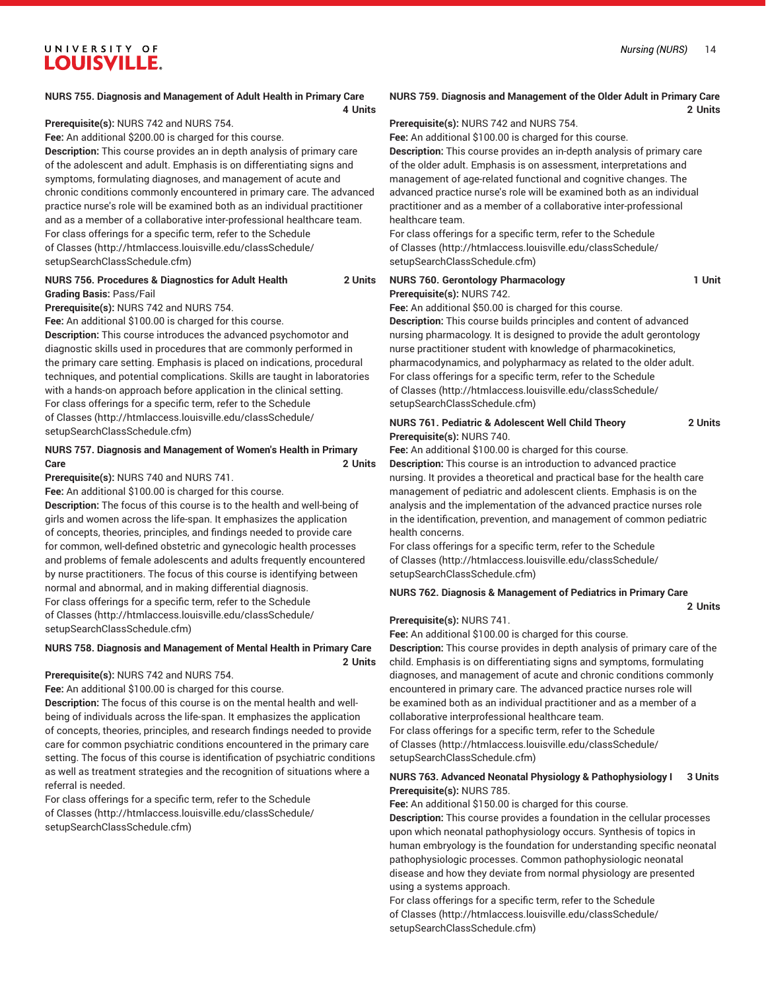#### **NURS 755. Diagnosis and Management of Adult Health in Primary Care**

**4 Units**

**Prerequisite(s):** NURS 742 and NURS 754.

**Fee:** An additional \$200.00 is charged for this course.

**Description:** This course provides an in depth analysis of primary care of the adolescent and adult. Emphasis is on differentiating signs and symptoms, formulating diagnoses, and management of acute and chronic conditions commonly encountered in primary care. The advanced practice nurse's role will be examined both as an individual practitioner and as a member of a collaborative inter-professional healthcare team. For class offerings for a specific term, refer to the [Schedule](http://htmlaccess.louisville.edu/classSchedule/setupSearchClassSchedule.cfm) [of Classes \(http://htmlaccess.louisville.edu/classSchedule/](http://htmlaccess.louisville.edu/classSchedule/setupSearchClassSchedule.cfm) [setupSearchClassSchedule.cfm\)](http://htmlaccess.louisville.edu/classSchedule/setupSearchClassSchedule.cfm)

## **NURS 756. Procedures & Diagnostics for Adult Health 2 Units**

**Grading Basis:** Pass/Fail

**Prerequisite(s):** NURS 742 and NURS 754.

**Fee:** An additional \$100.00 is charged for this course.

**Description:** This course introduces the advanced psychomotor and diagnostic skills used in procedures that are commonly performed in the primary care setting. Emphasis is placed on indications, procedural techniques, and potential complications. Skills are taught in laboratories with a hands-on approach before application in the clinical setting. For class offerings for a specific term, refer to the [Schedule](http://htmlaccess.louisville.edu/classSchedule/setupSearchClassSchedule.cfm) [of Classes \(http://htmlaccess.louisville.edu/classSchedule/](http://htmlaccess.louisville.edu/classSchedule/setupSearchClassSchedule.cfm) [setupSearchClassSchedule.cfm\)](http://htmlaccess.louisville.edu/classSchedule/setupSearchClassSchedule.cfm)

## **NURS 757. Diagnosis and Management of Women's Health in Primary Care 2 Units**

**Prerequisite(s):** NURS 740 and NURS 741.

**Fee:** An additional \$100.00 is charged for this course.

**Description:** The focus of this course is to the health and well-being of girls and women across the life-span. It emphasizes the application of concepts, theories, principles, and findings needed to provide care for common, well-defined obstetric and gynecologic health processes and problems of female adolescents and adults frequently encountered by nurse practitioners. The focus of this course is identifying between normal and abnormal, and in making differential diagnosis. For class offerings for a specific term, refer to the [Schedule](http://htmlaccess.louisville.edu/classSchedule/setupSearchClassSchedule.cfm) [of Classes \(http://htmlaccess.louisville.edu/classSchedule/](http://htmlaccess.louisville.edu/classSchedule/setupSearchClassSchedule.cfm) [setupSearchClassSchedule.cfm\)](http://htmlaccess.louisville.edu/classSchedule/setupSearchClassSchedule.cfm)

#### **NURS 758. Diagnosis and Management of Mental Health in Primary Care**

**2 Units**

#### **Prerequisite(s):** NURS 742 and NURS 754.

**Fee:** An additional \$100.00 is charged for this course.

**Description:** The focus of this course is on the mental health and wellbeing of individuals across the life-span. It emphasizes the application of concepts, theories, principles, and research findings needed to provide care for common psychiatric conditions encountered in the primary care setting. The focus of this course is identification of psychiatric conditions as well as treatment strategies and the recognition of situations where a referral is needed.

For class offerings for a specific term, refer to the [Schedule](http://htmlaccess.louisville.edu/classSchedule/setupSearchClassSchedule.cfm) [of Classes \(http://htmlaccess.louisville.edu/classSchedule/](http://htmlaccess.louisville.edu/classSchedule/setupSearchClassSchedule.cfm) [setupSearchClassSchedule.cfm\)](http://htmlaccess.louisville.edu/classSchedule/setupSearchClassSchedule.cfm)

## **NURS 759. Diagnosis and Management of the Older Adult in Primary Care 2 Units**

**Prerequisite(s):** NURS 742 and NURS 754.

**Fee:** An additional \$100.00 is charged for this course.

**Description:** This course provides an in-depth analysis of primary care of the older adult. Emphasis is on assessment, interpretations and management of age-related functional and cognitive changes. The advanced practice nurse's role will be examined both as an individual practitioner and as a member of a collaborative inter-professional healthcare team.

For class offerings for a specific term, refer to the [Schedule](http://htmlaccess.louisville.edu/classSchedule/setupSearchClassSchedule.cfm) [of Classes](http://htmlaccess.louisville.edu/classSchedule/setupSearchClassSchedule.cfm) ([http://htmlaccess.louisville.edu/classSchedule/](http://htmlaccess.louisville.edu/classSchedule/setupSearchClassSchedule.cfm) [setupSearchClassSchedule.cfm\)](http://htmlaccess.louisville.edu/classSchedule/setupSearchClassSchedule.cfm)

#### **NURS 760. Gerontology Pharmacology 1 Unit Prerequisite(s):** NURS 742.

**Fee:** An additional \$50.00 is charged for this course. **Description:** This course builds principles and content of advanced nursing pharmacology. It is designed to provide the adult gerontology nurse practitioner student with knowledge of pharmacokinetics, pharmacodynamics, and polypharmacy as related to the older adult. For class offerings for a specific term, refer to the [Schedule](http://htmlaccess.louisville.edu/classSchedule/setupSearchClassSchedule.cfm) [of Classes](http://htmlaccess.louisville.edu/classSchedule/setupSearchClassSchedule.cfm) ([http://htmlaccess.louisville.edu/classSchedule/](http://htmlaccess.louisville.edu/classSchedule/setupSearchClassSchedule.cfm) [setupSearchClassSchedule.cfm\)](http://htmlaccess.louisville.edu/classSchedule/setupSearchClassSchedule.cfm)

#### **NURS 761. Pediatric & Adolescent Well Child Theory 2 Units Prerequisite(s):** NURS 740.

**Fee:** An additional \$100.00 is charged for this course.

**Description:** This course is an introduction to advanced practice nursing. It provides a theoretical and practical base for the health care management of pediatric and adolescent clients. Emphasis is on the analysis and the implementation of the advanced practice nurses role in the identification, prevention, and management of common pediatric health concerns.

For class offerings for a specific term, refer to the [Schedule](http://htmlaccess.louisville.edu/classSchedule/setupSearchClassSchedule.cfm) [of Classes](http://htmlaccess.louisville.edu/classSchedule/setupSearchClassSchedule.cfm) ([http://htmlaccess.louisville.edu/classSchedule/](http://htmlaccess.louisville.edu/classSchedule/setupSearchClassSchedule.cfm) [setupSearchClassSchedule.cfm\)](http://htmlaccess.louisville.edu/classSchedule/setupSearchClassSchedule.cfm)

## **NURS 762. Diagnosis & Management of Pediatrics in Primary Care**

**2 Units**

#### **Prerequisite(s):** NURS 741.

**Fee:** An additional \$100.00 is charged for this course.

**Description:** This course provides in depth analysis of primary care of the child. Emphasis is on differentiating signs and symptoms, formulating diagnoses, and management of acute and chronic conditions commonly encountered in primary care. The advanced practice nurses role will be examined both as an individual practitioner and as a member of a collaborative interprofessional healthcare team.

For class offerings for a specific term, refer to the [Schedule](http://htmlaccess.louisville.edu/classSchedule/setupSearchClassSchedule.cfm) [of Classes](http://htmlaccess.louisville.edu/classSchedule/setupSearchClassSchedule.cfm) ([http://htmlaccess.louisville.edu/classSchedule/](http://htmlaccess.louisville.edu/classSchedule/setupSearchClassSchedule.cfm) [setupSearchClassSchedule.cfm\)](http://htmlaccess.louisville.edu/classSchedule/setupSearchClassSchedule.cfm)

## **NURS 763. Advanced Neonatal Physiology & Pathophysiology I 3 Units Prerequisite(s):** NURS 785.

**Fee:** An additional \$150.00 is charged for this course.

**Description:** This course provides a foundation in the cellular processes upon which neonatal pathophysiology occurs. Synthesis of topics in human embryology is the foundation for understanding specific neonatal pathophysiologic processes. Common pathophysiologic neonatal disease and how they deviate from normal physiology are presented using a systems approach.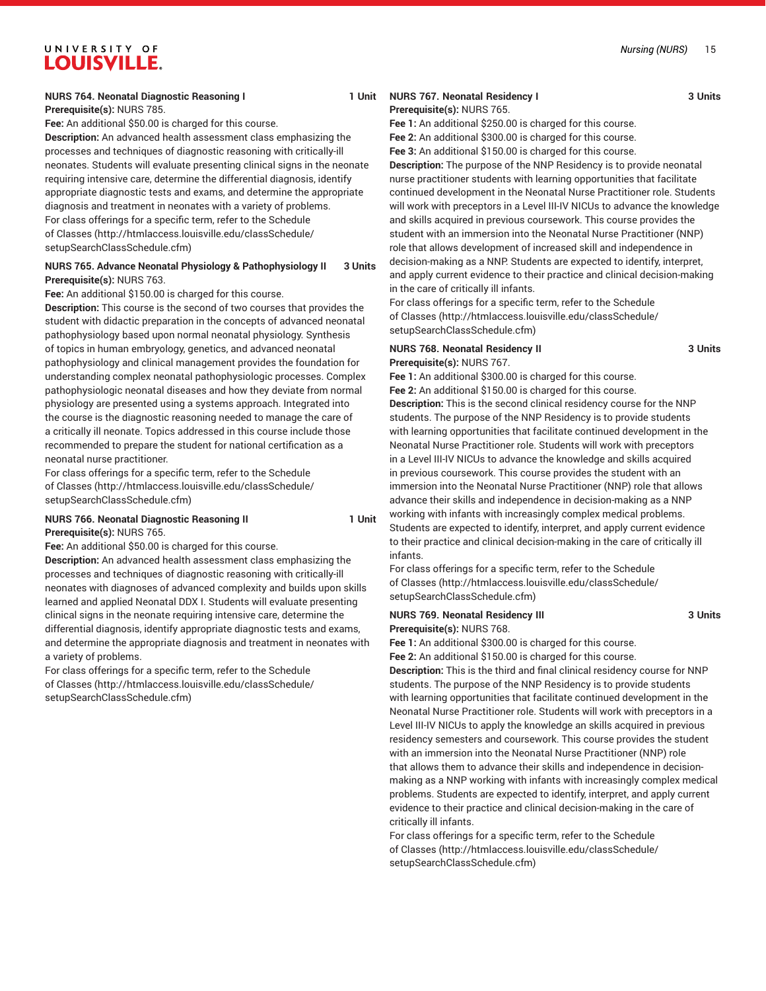#### *Nursing (NURS)* 15

# UNIVERSITY OF LOUISVILLE.

## **NURS 764. Neonatal Diagnostic Reasoning I 1 1 Unit**

**Prerequisite(s):** NURS 785.

**Fee:** An additional \$50.00 is charged for this course.

**Description:** An advanced health assessment class emphasizing the processes and techniques of diagnostic reasoning with critically-ill neonates. Students will evaluate presenting clinical signs in the neonate requiring intensive care, determine the differential diagnosis, identify appropriate diagnostic tests and exams, and determine the appropriate diagnosis and treatment in neonates with a variety of problems. For class offerings for a specific term, refer to the [Schedule](http://htmlaccess.louisville.edu/classSchedule/setupSearchClassSchedule.cfm) [of Classes \(http://htmlaccess.louisville.edu/classSchedule/](http://htmlaccess.louisville.edu/classSchedule/setupSearchClassSchedule.cfm) [setupSearchClassSchedule.cfm\)](http://htmlaccess.louisville.edu/classSchedule/setupSearchClassSchedule.cfm)

## **NURS 765. Advance Neonatal Physiology & Pathophysiology II 3 Units Prerequisite(s):** NURS 763.

**Fee:** An additional \$150.00 is charged for this course.

**Description:** This course is the second of two courses that provides the student with didactic preparation in the concepts of advanced neonatal pathophysiology based upon normal neonatal physiology. Synthesis of topics in human embryology, genetics, and advanced neonatal pathophysiology and clinical management provides the foundation for understanding complex neonatal pathophysiologic processes. Complex pathophysiologic neonatal diseases and how they deviate from normal physiology are presented using a systems approach. Integrated into the course is the diagnostic reasoning needed to manage the care of a critically ill neonate. Topics addressed in this course include those recommended to prepare the student for national certification as a neonatal nurse practitioner.

For class offerings for a specific term, refer to the [Schedule](http://htmlaccess.louisville.edu/classSchedule/setupSearchClassSchedule.cfm) [of Classes \(http://htmlaccess.louisville.edu/classSchedule/](http://htmlaccess.louisville.edu/classSchedule/setupSearchClassSchedule.cfm) [setupSearchClassSchedule.cfm\)](http://htmlaccess.louisville.edu/classSchedule/setupSearchClassSchedule.cfm)

#### **NURS 766. Neonatal Diagnostic Reasoning II 1 1 Unit Prerequisite(s):** NURS 765.

**Fee:** An additional \$50.00 is charged for this course.

**Description:** An advanced health assessment class emphasizing the processes and techniques of diagnostic reasoning with critically-ill neonates with diagnoses of advanced complexity and builds upon skills learned and applied Neonatal DDX I. Students will evaluate presenting clinical signs in the neonate requiring intensive care, determine the differential diagnosis, identify appropriate diagnostic tests and exams, and determine the appropriate diagnosis and treatment in neonates with a variety of problems.

For class offerings for a specific term, refer to the [Schedule](http://htmlaccess.louisville.edu/classSchedule/setupSearchClassSchedule.cfm) [of Classes \(http://htmlaccess.louisville.edu/classSchedule/](http://htmlaccess.louisville.edu/classSchedule/setupSearchClassSchedule.cfm) [setupSearchClassSchedule.cfm\)](http://htmlaccess.louisville.edu/classSchedule/setupSearchClassSchedule.cfm)

# **NURS 767. Neonatal Residency I 3 Units**

**Prerequisite(s):** NURS 765. **Fee 1:** An additional \$250.00 is charged for this course. **Fee 2:** An additional \$300.00 is charged for this course.

**Fee 3:** An additional \$150.00 is charged for this course.

**Description:** The purpose of the NNP Residency is to provide neonatal nurse practitioner students with learning opportunities that facilitate continued development in the Neonatal Nurse Practitioner role. Students will work with preceptors in a Level III-IV NICUs to advance the knowledge and skills acquired in previous coursework. This course provides the student with an immersion into the Neonatal Nurse Practitioner (NNP) role that allows development of increased skill and independence in decision-making as a NNP. Students are expected to identify, interpret, and apply current evidence to their practice and clinical decision-making in the care of critically ill infants.

For class offerings for a specific term, refer to the [Schedule](http://htmlaccess.louisville.edu/classSchedule/setupSearchClassSchedule.cfm) [of Classes](http://htmlaccess.louisville.edu/classSchedule/setupSearchClassSchedule.cfm) ([http://htmlaccess.louisville.edu/classSchedule/](http://htmlaccess.louisville.edu/classSchedule/setupSearchClassSchedule.cfm) [setupSearchClassSchedule.cfm\)](http://htmlaccess.louisville.edu/classSchedule/setupSearchClassSchedule.cfm)

#### **NURS 768. Neonatal Residency II 3 Units Prerequisite(s):** NURS 767.

**Fee 1:** An additional \$300.00 is charged for this course.

**Fee 2:** An additional \$150.00 is charged for this course. **Description:** This is the second clinical residency course for the NNP students. The purpose of the NNP Residency is to provide students with learning opportunities that facilitate continued development in the Neonatal Nurse Practitioner role. Students will work with preceptors in a Level III-IV NICUs to advance the knowledge and skills acquired in previous coursework. This course provides the student with an immersion into the Neonatal Nurse Practitioner (NNP) role that allows advance their skills and independence in decision-making as a NNP working with infants with increasingly complex medical problems. Students are expected to identify, interpret, and apply current evidence to their practice and clinical decision-making in the care of critically ill infants.

For class offerings for a specific term, refer to the [Schedule](http://htmlaccess.louisville.edu/classSchedule/setupSearchClassSchedule.cfm) [of Classes](http://htmlaccess.louisville.edu/classSchedule/setupSearchClassSchedule.cfm) ([http://htmlaccess.louisville.edu/classSchedule/](http://htmlaccess.louisville.edu/classSchedule/setupSearchClassSchedule.cfm) [setupSearchClassSchedule.cfm\)](http://htmlaccess.louisville.edu/classSchedule/setupSearchClassSchedule.cfm)

#### **NURS 769. Neonatal Residency III 3 Units Prerequisite(s):** NURS 768.

**Fee 1:** An additional \$300.00 is charged for this course.

**Fee 2:** An additional \$150.00 is charged for this course.

**Description:** This is the third and final clinical residency course for NNP students. The purpose of the NNP Residency is to provide students with learning opportunities that facilitate continued development in the Neonatal Nurse Practitioner role. Students will work with preceptors in a Level III-IV NICUs to apply the knowledge an skills acquired in previous residency semesters and coursework. This course provides the student with an immersion into the Neonatal Nurse Practitioner (NNP) role that allows them to advance their skills and independence in decisionmaking as a NNP working with infants with increasingly complex medical problems. Students are expected to identify, interpret, and apply current evidence to their practice and clinical decision-making in the care of critically ill infants.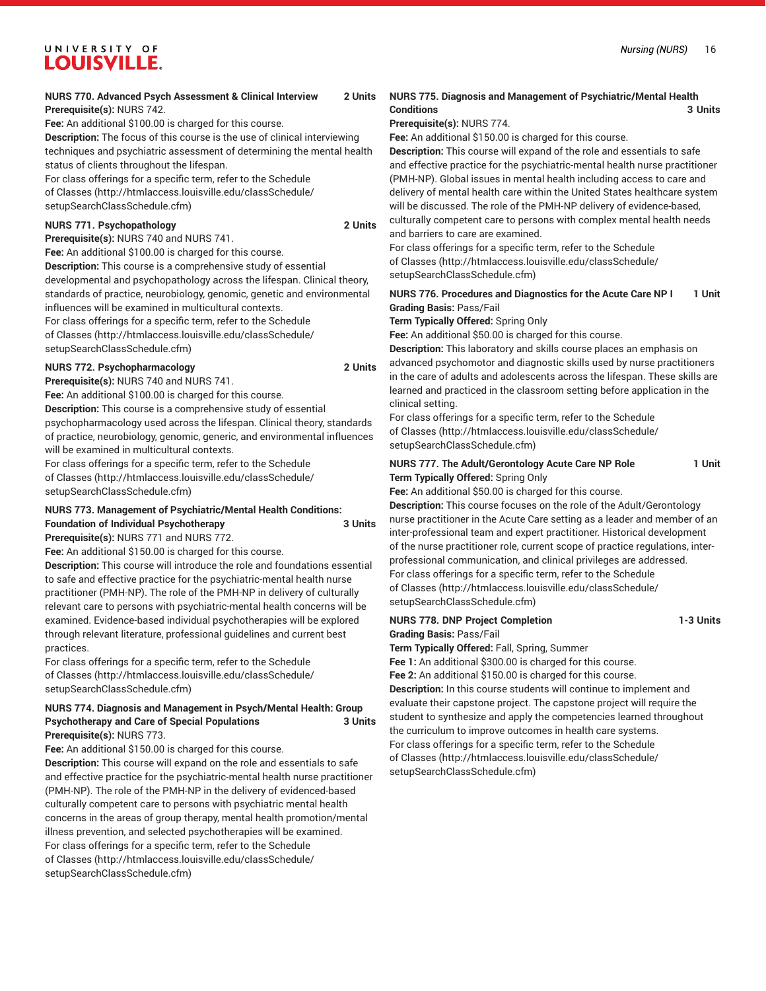# **NURS 770. Advanced Psych Assessment & Clinical Interview 2 Units**

**Prerequisite(s):** NURS 742.

**Fee:** An additional \$100.00 is charged for this course.

**Description:** The focus of this course is the use of clinical interviewing techniques and psychiatric assessment of determining the mental health status of clients throughout the lifespan.

For class offerings for a specific term, refer to the [Schedule](http://htmlaccess.louisville.edu/classSchedule/setupSearchClassSchedule.cfm)

[of Classes \(http://htmlaccess.louisville.edu/classSchedule/](http://htmlaccess.louisville.edu/classSchedule/setupSearchClassSchedule.cfm)

## [setupSearchClassSchedule.cfm\)](http://htmlaccess.louisville.edu/classSchedule/setupSearchClassSchedule.cfm) **NURS 771. Psychopathology 2 Units**

**Prerequisite(s):** NURS 740 and NURS 741.

**Fee:** An additional \$100.00 is charged for this course. **Description:** This course is a comprehensive study of essential developmental and psychopathology across the lifespan. Clinical theory, standards of practice, neurobiology, genomic, genetic and environmental influences will be examined in multicultural contexts. For class offerings for a specific term, refer to the [Schedule](http://htmlaccess.louisville.edu/classSchedule/setupSearchClassSchedule.cfm)

[of Classes \(http://htmlaccess.louisville.edu/classSchedule/](http://htmlaccess.louisville.edu/classSchedule/setupSearchClassSchedule.cfm) [setupSearchClassSchedule.cfm\)](http://htmlaccess.louisville.edu/classSchedule/setupSearchClassSchedule.cfm)

## **NURS 772. Psychopharmacology 2 Units**

**Prerequisite(s):** NURS 740 and NURS 741.

**Fee:** An additional \$100.00 is charged for this course.

**Description:** This course is a comprehensive study of essential psychopharmacology used across the lifespan. Clinical theory, standards of practice, neurobiology, genomic, generic, and environmental influences will be examined in multicultural contexts.

For class offerings for a specific term, refer to the [Schedule](http://htmlaccess.louisville.edu/classSchedule/setupSearchClassSchedule.cfm) [of Classes \(http://htmlaccess.louisville.edu/classSchedule/](http://htmlaccess.louisville.edu/classSchedule/setupSearchClassSchedule.cfm) [setupSearchClassSchedule.cfm\)](http://htmlaccess.louisville.edu/classSchedule/setupSearchClassSchedule.cfm)

## **NURS 773. Management of Psychiatric/Mental Health Conditions: Foundation of Individual Psychotherapy 3 Units**

**Prerequisite(s):** NURS 771 and NURS 772.

**Fee:** An additional \$150.00 is charged for this course.

**Description:** This course will introduce the role and foundations essential to safe and effective practice for the psychiatric-mental health nurse practitioner (PMH-NP). The role of the PMH-NP in delivery of culturally relevant care to persons with psychiatric-mental health concerns will be examined. Evidence-based individual psychotherapies will be explored through relevant literature, professional guidelines and current best practices.

For class offerings for a specific term, refer to the [Schedule](http://htmlaccess.louisville.edu/classSchedule/setupSearchClassSchedule.cfm) [of Classes \(http://htmlaccess.louisville.edu/classSchedule/](http://htmlaccess.louisville.edu/classSchedule/setupSearchClassSchedule.cfm) [setupSearchClassSchedule.cfm\)](http://htmlaccess.louisville.edu/classSchedule/setupSearchClassSchedule.cfm)

## **NURS 774. Diagnosis and Management in Psych/Mental Health: Group Psychotherapy and Care of Special Populations 3 Units Prerequisite(s):** NURS 773.

**Fee:** An additional \$150.00 is charged for this course.

**Description:** This course will expand on the role and essentials to safe and effective practice for the psychiatric-mental health nurse practitioner (PMH-NP). The role of the PMH-NP in the delivery of evidenced-based culturally competent care to persons with psychiatric mental health concerns in the areas of group therapy, mental health promotion/mental illness prevention, and selected psychotherapies will be examined. For class offerings for a specific term, refer to the [Schedule](http://htmlaccess.louisville.edu/classSchedule/setupSearchClassSchedule.cfm) [of Classes \(http://htmlaccess.louisville.edu/classSchedule/](http://htmlaccess.louisville.edu/classSchedule/setupSearchClassSchedule.cfm) [setupSearchClassSchedule.cfm\)](http://htmlaccess.louisville.edu/classSchedule/setupSearchClassSchedule.cfm)

## **NURS 775. Diagnosis and Management of Psychiatric/Mental Health Conditions 3 Units**

## **Prerequisite(s):** NURS 774.

**Fee:** An additional \$150.00 is charged for this course.

**Description:** This course will expand of the role and essentials to safe and effective practice for the psychiatric-mental health nurse practitioner (PMH-NP). Global issues in mental health including access to care and delivery of mental health care within the United States healthcare system will be discussed. The role of the PMH-NP delivery of evidence-based, culturally competent care to persons with complex mental health needs and barriers to care are examined.

For class offerings for a specific term, refer to the [Schedule](http://htmlaccess.louisville.edu/classSchedule/setupSearchClassSchedule.cfm) [of Classes](http://htmlaccess.louisville.edu/classSchedule/setupSearchClassSchedule.cfm) ([http://htmlaccess.louisville.edu/classSchedule/](http://htmlaccess.louisville.edu/classSchedule/setupSearchClassSchedule.cfm) [setupSearchClassSchedule.cfm\)](http://htmlaccess.louisville.edu/classSchedule/setupSearchClassSchedule.cfm)

## **NURS 776. Procedures and Diagnostics for the Acute Care NP I 1 Unit Grading Basis:** Pass/Fail

**Term Typically Offered:** Spring Only

**Fee:** An additional \$50.00 is charged for this course.

**Description:** This laboratory and skills course places an emphasis on advanced psychomotor and diagnostic skills used by nurse practitioners in the care of adults and adolescents across the lifespan. These skills are learned and practiced in the classroom setting before application in the clinical setting.

For class offerings for a specific term, refer to the [Schedule](http://htmlaccess.louisville.edu/classSchedule/setupSearchClassSchedule.cfm) [of Classes](http://htmlaccess.louisville.edu/classSchedule/setupSearchClassSchedule.cfm) ([http://htmlaccess.louisville.edu/classSchedule/](http://htmlaccess.louisville.edu/classSchedule/setupSearchClassSchedule.cfm) [setupSearchClassSchedule.cfm\)](http://htmlaccess.louisville.edu/classSchedule/setupSearchClassSchedule.cfm)

## **NURS 777. The Adult/Gerontology Acute Care NP Role 1 Unit Term Typically Offered:** Spring Only

**Fee:** An additional \$50.00 is charged for this course.

**Description:** This course focuses on the role of the Adult/Gerontology nurse practitioner in the Acute Care setting as a leader and member of an inter-professional team and expert practitioner. Historical development of the nurse practitioner role, current scope of practice regulations, interprofessional communication, and clinical privileges are addressed. For class offerings for a specific term, refer to the [Schedule](http://htmlaccess.louisville.edu/classSchedule/setupSearchClassSchedule.cfm) [of Classes](http://htmlaccess.louisville.edu/classSchedule/setupSearchClassSchedule.cfm) ([http://htmlaccess.louisville.edu/classSchedule/](http://htmlaccess.louisville.edu/classSchedule/setupSearchClassSchedule.cfm) [setupSearchClassSchedule.cfm\)](http://htmlaccess.louisville.edu/classSchedule/setupSearchClassSchedule.cfm)

## **NURS 778. DNP Project Completion 1-3 Units**

**Grading Basis:** Pass/Fail

**Term Typically Offered:** Fall, Spring, Summer **Fee 1:** An additional \$300.00 is charged for this course.

**Fee 2:** An additional \$150.00 is charged for this course.

**Description:** In this course students will continue to implement and evaluate their capstone project. The capstone project will require the student to synthesize and apply the competencies learned throughout the curriculum to improve outcomes in health care systems. For class offerings for a specific term, refer to the [Schedule](http://htmlaccess.louisville.edu/classSchedule/setupSearchClassSchedule.cfm) [of Classes](http://htmlaccess.louisville.edu/classSchedule/setupSearchClassSchedule.cfm) ([http://htmlaccess.louisville.edu/classSchedule/](http://htmlaccess.louisville.edu/classSchedule/setupSearchClassSchedule.cfm) [setupSearchClassSchedule.cfm\)](http://htmlaccess.louisville.edu/classSchedule/setupSearchClassSchedule.cfm)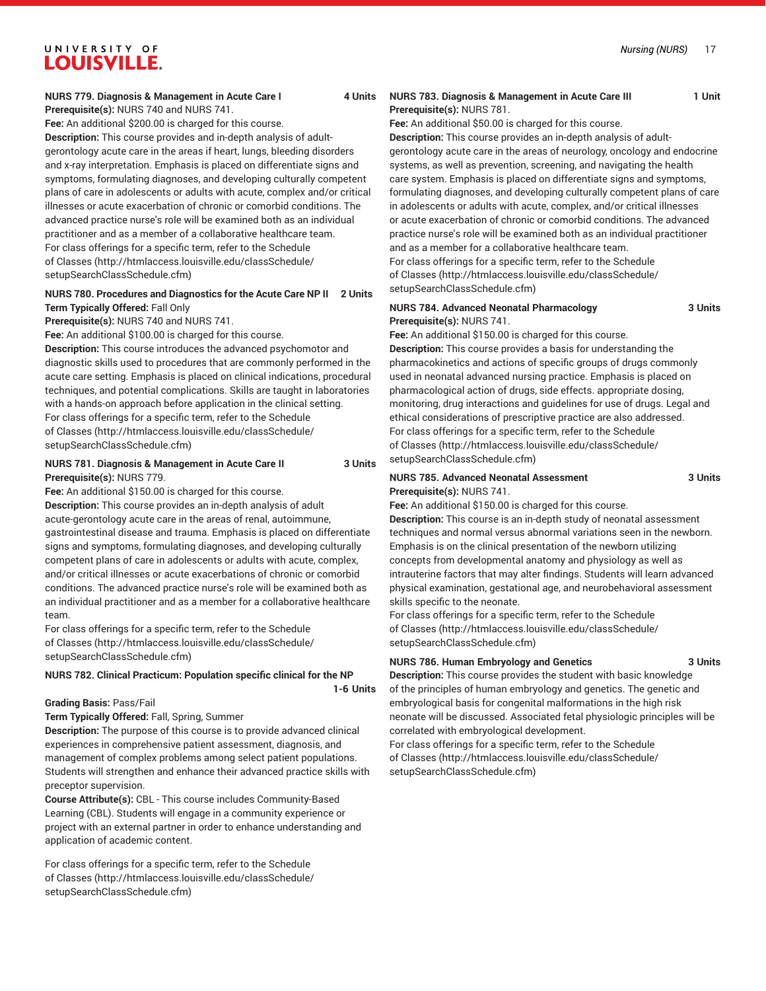#### **NURS 779. Diagnosis & Management in Acute Care I 4 Units Prerequisite(s):** NURS 740 and NURS 741.

**Fee:** An additional \$200.00 is charged for this course.

**Description:** This course provides and in-depth analysis of adultgerontology acute care in the areas if heart, lungs, bleeding disorders and x-ray interpretation. Emphasis is placed on differentiate signs and symptoms, formulating diagnoses, and developing culturally competent plans of care in adolescents or adults with acute, complex and/or critical illnesses or acute exacerbation of chronic or comorbid conditions. The advanced practice nurse's role will be examined both as an individual practitioner and as a member of a collaborative healthcare team. For class offerings for a specific term, refer to the [Schedule](http://htmlaccess.louisville.edu/classSchedule/setupSearchClassSchedule.cfm) [of Classes \(http://htmlaccess.louisville.edu/classSchedule/](http://htmlaccess.louisville.edu/classSchedule/setupSearchClassSchedule.cfm) [setupSearchClassSchedule.cfm\)](http://htmlaccess.louisville.edu/classSchedule/setupSearchClassSchedule.cfm)

## **NURS 780. Procedures and Diagnostics for the Acute Care NP II 2 Units Term Typically Offered:** Fall Only

**Prerequisite(s):** NURS 740 and NURS 741.

**Fee:** An additional \$100.00 is charged for this course.

**Description:** This course introduces the advanced psychomotor and diagnostic skills used to procedures that are commonly performed in the acute care setting. Emphasis is placed on clinical indications, procedural techniques, and potential complications. Skills are taught in laboratories with a hands-on approach before application in the clinical setting. For class offerings for a specific term, refer to the [Schedule](http://htmlaccess.louisville.edu/classSchedule/setupSearchClassSchedule.cfm) [of Classes \(http://htmlaccess.louisville.edu/classSchedule/](http://htmlaccess.louisville.edu/classSchedule/setupSearchClassSchedule.cfm) [setupSearchClassSchedule.cfm\)](http://htmlaccess.louisville.edu/classSchedule/setupSearchClassSchedule.cfm)

## **NURS 781. Diagnosis & Management in Acute Care II 3 Units Prerequisite(s):** NURS 779.

**Fee:** An additional \$150.00 is charged for this course.

**Description:** This course provides an in-depth analysis of adult acute-gerontology acute care in the areas of renal, autoimmune, gastrointestinal disease and trauma. Emphasis is placed on differentiate signs and symptoms, formulating diagnoses, and developing culturally competent plans of care in adolescents or adults with acute, complex, and/or critical illnesses or acute exacerbations of chronic or comorbid conditions. The advanced practice nurse's role will be examined both as an individual practitioner and as a member for a collaborative healthcare team.

For class offerings for a specific term, refer to the [Schedule](http://htmlaccess.louisville.edu/classSchedule/setupSearchClassSchedule.cfm) [of Classes \(http://htmlaccess.louisville.edu/classSchedule/](http://htmlaccess.louisville.edu/classSchedule/setupSearchClassSchedule.cfm) [setupSearchClassSchedule.cfm\)](http://htmlaccess.louisville.edu/classSchedule/setupSearchClassSchedule.cfm)

## **NURS 782. Clinical Practicum: Population specific clinical for the NP**

**1-6 Units**

#### **Grading Basis:** Pass/Fail

**Term Typically Offered:** Fall, Spring, Summer

**Description:** The purpose of this course is to provide advanced clinical experiences in comprehensive patient assessment, diagnosis, and management of complex problems among select patient populations. Students will strengthen and enhance their advanced practice skills with preceptor supervision.

**Course Attribute(s):** CBL - This course includes Community-Based Learning (CBL). Students will engage in a community experience or project with an external partner in order to enhance understanding and application of academic content.

For class offerings for a specific term, refer to the [Schedule](http://htmlaccess.louisville.edu/classSchedule/setupSearchClassSchedule.cfm) [of Classes \(http://htmlaccess.louisville.edu/classSchedule/](http://htmlaccess.louisville.edu/classSchedule/setupSearchClassSchedule.cfm) [setupSearchClassSchedule.cfm\)](http://htmlaccess.louisville.edu/classSchedule/setupSearchClassSchedule.cfm)

## **NURS 783. Diagnosis & Management in Acute Care III 1999 11 Unit Prerequisite(s):** NURS 781.

**Fee:** An additional \$50.00 is charged for this course.

**Description:** This course provides an in-depth analysis of adultgerontology acute care in the areas of neurology, oncology and endocrine systems, as well as prevention, screening, and navigating the health care system. Emphasis is placed on differentiate signs and symptoms, formulating diagnoses, and developing culturally competent plans of care in adolescents or adults with acute, complex, and/or critical illnesses or acute exacerbation of chronic or comorbid conditions. The advanced practice nurse's role will be examined both as an individual practitioner and as a member for a collaborative healthcare team. For class offerings for a specific term, refer to the [Schedule](http://htmlaccess.louisville.edu/classSchedule/setupSearchClassSchedule.cfm) [of Classes](http://htmlaccess.louisville.edu/classSchedule/setupSearchClassSchedule.cfm) ([http://htmlaccess.louisville.edu/classSchedule/](http://htmlaccess.louisville.edu/classSchedule/setupSearchClassSchedule.cfm) [setupSearchClassSchedule.cfm\)](http://htmlaccess.louisville.edu/classSchedule/setupSearchClassSchedule.cfm)

#### **NURS 784. Advanced Neonatal Pharmacology 3 Units Prerequisite(s):** NURS 741.

**Fee:** An additional \$150.00 is charged for this course. **Description:** This course provides a basis for understanding the pharmacokinetics and actions of specific groups of drugs commonly used in neonatal advanced nursing practice. Emphasis is placed on pharmacological action of drugs, side effects. appropriate dosing, monitoring, drug interactions and guidelines for use of drugs. Legal and ethical considerations of prescriptive practice are also addressed. For class offerings for a specific term, refer to the [Schedule](http://htmlaccess.louisville.edu/classSchedule/setupSearchClassSchedule.cfm) [of Classes](http://htmlaccess.louisville.edu/classSchedule/setupSearchClassSchedule.cfm) ([http://htmlaccess.louisville.edu/classSchedule/](http://htmlaccess.louisville.edu/classSchedule/setupSearchClassSchedule.cfm) [setupSearchClassSchedule.cfm\)](http://htmlaccess.louisville.edu/classSchedule/setupSearchClassSchedule.cfm)

## **NURS 785. Advanced Neonatal Assessment 3 Units Prerequisite(s):** NURS 741.

**Fee:** An additional \$150.00 is charged for this course.

**Description:** This course is an in-depth study of neonatal assessment techniques and normal versus abnormal variations seen in the newborn. Emphasis is on the clinical presentation of the newborn utilizing concepts from developmental anatomy and physiology as well as intrauterine factors that may alter findings. Students will learn advanced physical examination, gestational age, and neurobehavioral assessment skills specific to the neonate.

For class offerings for a specific term, refer to the [Schedule](http://htmlaccess.louisville.edu/classSchedule/setupSearchClassSchedule.cfm) [of Classes](http://htmlaccess.louisville.edu/classSchedule/setupSearchClassSchedule.cfm) ([http://htmlaccess.louisville.edu/classSchedule/](http://htmlaccess.louisville.edu/classSchedule/setupSearchClassSchedule.cfm) [setupSearchClassSchedule.cfm\)](http://htmlaccess.louisville.edu/classSchedule/setupSearchClassSchedule.cfm)

## **NURS 786. Human Embryology and Genetics 3 Units**

**Description:** This course provides the student with basic knowledge of the principles of human embryology and genetics. The genetic and embryological basis for congenital malformations in the high risk neonate will be discussed. Associated fetal physiologic principles will be correlated with embryological development.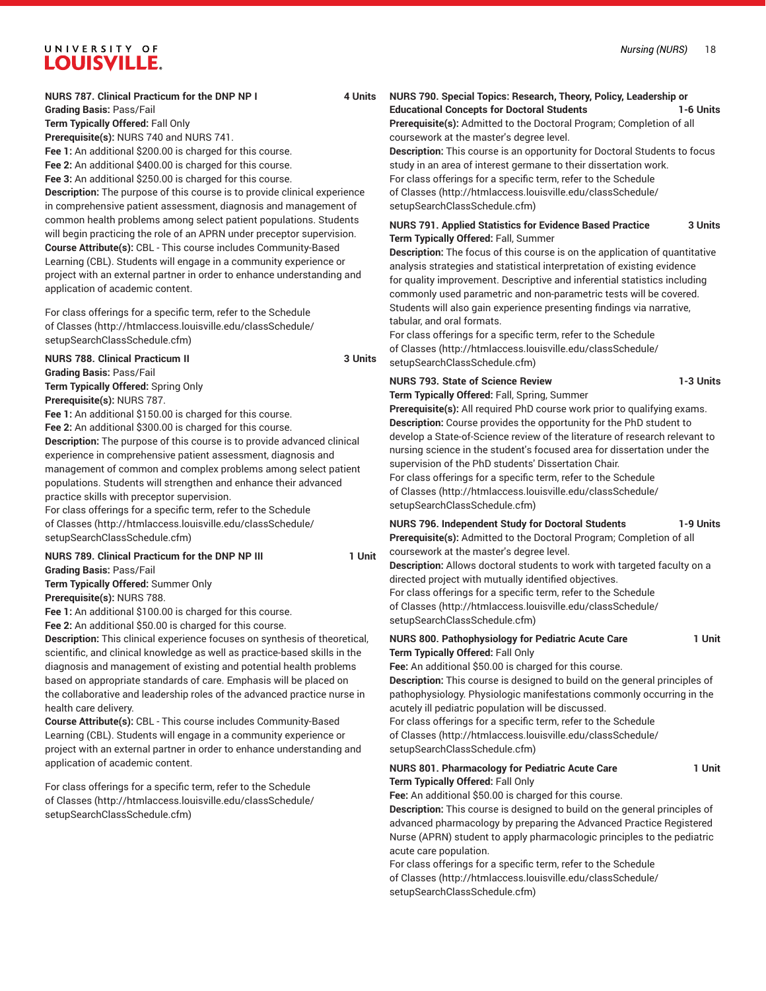## **NURS 787. Clinical Practicum for the DNP NP I 4 Units**

**Grading Basis:** Pass/Fail

**Term Typically Offered:** Fall Only

**Prerequisite(s):** NURS 740 and NURS 741.

**Fee 1:** An additional \$200.00 is charged for this course. **Fee 2:** An additional \$400.00 is charged for this course.

**Fee 3:** An additional \$250.00 is charged for this course.

**Description:** The purpose of this course is to provide clinical experience in comprehensive patient assessment, diagnosis and management of common health problems among select patient populations. Students will begin practicing the role of an APRN under preceptor supervision. **Course Attribute(s):** CBL - This course includes Community-Based Learning (CBL). Students will engage in a community experience or project with an external partner in order to enhance understanding and application of academic content.

For class offerings for a specific term, refer to the [Schedule](http://htmlaccess.louisville.edu/classSchedule/setupSearchClassSchedule.cfm) [of Classes \(http://htmlaccess.louisville.edu/classSchedule/](http://htmlaccess.louisville.edu/classSchedule/setupSearchClassSchedule.cfm) [setupSearchClassSchedule.cfm\)](http://htmlaccess.louisville.edu/classSchedule/setupSearchClassSchedule.cfm)

**NURS 788. Clinical Practicum II 3 Units Grading Basis:** Pass/Fail

**Term Typically Offered:** Spring Only **Prerequisite(s):** NURS 787.

**Fee 1:** An additional \$150.00 is charged for this course.

**Fee 2:** An additional \$300.00 is charged for this course.

**Description:** The purpose of this course is to provide advanced clinical experience in comprehensive patient assessment, diagnosis and management of common and complex problems among select patient populations. Students will strengthen and enhance their advanced practice skills with preceptor supervision.

For class offerings for a specific term, refer to the [Schedule](http://htmlaccess.louisville.edu/classSchedule/setupSearchClassSchedule.cfm) [of Classes \(http://htmlaccess.louisville.edu/classSchedule/](http://htmlaccess.louisville.edu/classSchedule/setupSearchClassSchedule.cfm) [setupSearchClassSchedule.cfm\)](http://htmlaccess.louisville.edu/classSchedule/setupSearchClassSchedule.cfm)

## **NURS 789. Clinical Practicum for the DNP NP III 1 1 Unit Grading Basis:** Pass/Fail **Term Typically Offered:** Summer Only

**Prerequisite(s):** NURS 788.

**Fee 1:** An additional \$100.00 is charged for this course.

**Fee 2:** An additional \$50.00 is charged for this course.

**Description:** This clinical experience focuses on synthesis of theoretical, scientific, and clinical knowledge as well as practice-based skills in the diagnosis and management of existing and potential health problems based on appropriate standards of care. Emphasis will be placed on the collaborative and leadership roles of the advanced practice nurse in health care delivery.

**Course Attribute(s):** CBL - This course includes Community-Based Learning (CBL). Students will engage in a community experience or project with an external partner in order to enhance understanding and application of academic content.

For class offerings for a specific term, refer to the [Schedule](http://htmlaccess.louisville.edu/classSchedule/setupSearchClassSchedule.cfm) [of Classes \(http://htmlaccess.louisville.edu/classSchedule/](http://htmlaccess.louisville.edu/classSchedule/setupSearchClassSchedule.cfm) [setupSearchClassSchedule.cfm\)](http://htmlaccess.louisville.edu/classSchedule/setupSearchClassSchedule.cfm)

## **NURS 790. Special Topics: Research, Theory, Policy, Leadership or**

## **Educational Concepts for Doctoral Students 1-6 Units**

**Prerequisite(s):** Admitted to the Doctoral Program; Completion of all coursework at the master's degree level.

**Description:** This course is an opportunity for Doctoral Students to focus study in an area of interest germane to their dissertation work. For class offerings for a specific term, refer to the [Schedule](http://htmlaccess.louisville.edu/classSchedule/setupSearchClassSchedule.cfm) [of Classes](http://htmlaccess.louisville.edu/classSchedule/setupSearchClassSchedule.cfm) ([http://htmlaccess.louisville.edu/classSchedule/](http://htmlaccess.louisville.edu/classSchedule/setupSearchClassSchedule.cfm)

[setupSearchClassSchedule.cfm\)](http://htmlaccess.louisville.edu/classSchedule/setupSearchClassSchedule.cfm)

## **NURS 791. Applied Statistics for Evidence Based Practice 3 Units Term Typically Offered:** Fall, Summer

**Description:** The focus of this course is on the application of quantitative analysis strategies and statistical interpretation of existing evidence for quality improvement. Descriptive and inferential statistics including commonly used parametric and non-parametric tests will be covered. Students will also gain experience presenting findings via narrative, tabular, and oral formats.

For class offerings for a specific term, refer to the [Schedule](http://htmlaccess.louisville.edu/classSchedule/setupSearchClassSchedule.cfm) [of Classes](http://htmlaccess.louisville.edu/classSchedule/setupSearchClassSchedule.cfm) ([http://htmlaccess.louisville.edu/classSchedule/](http://htmlaccess.louisville.edu/classSchedule/setupSearchClassSchedule.cfm) [setupSearchClassSchedule.cfm\)](http://htmlaccess.louisville.edu/classSchedule/setupSearchClassSchedule.cfm)

## **NURS 793. State of Science Review 1-3 Units**

**Term Typically Offered:** Fall, Spring, Summer

**Prerequisite(s):** All required PhD course work prior to qualifying exams. **Description:** Course provides the opportunity for the PhD student to develop a State-of-Science review of the literature of research relevant to nursing science in the student's focused area for dissertation under the supervision of the PhD students' Dissertation Chair.

For class offerings for a specific term, refer to the [Schedule](http://htmlaccess.louisville.edu/classSchedule/setupSearchClassSchedule.cfm) [of Classes](http://htmlaccess.louisville.edu/classSchedule/setupSearchClassSchedule.cfm) ([http://htmlaccess.louisville.edu/classSchedule/](http://htmlaccess.louisville.edu/classSchedule/setupSearchClassSchedule.cfm) [setupSearchClassSchedule.cfm\)](http://htmlaccess.louisville.edu/classSchedule/setupSearchClassSchedule.cfm)

## **NURS 796. Independent Study for Doctoral Students 1-9 Units**

**Prerequisite(s):** Admitted to the Doctoral Program; Completion of all coursework at the master's degree level.

**Description:** Allows doctoral students to work with targeted faculty on a directed project with mutually identified objectives. For class offerings for a specific term, refer to the [Schedule](http://htmlaccess.louisville.edu/classSchedule/setupSearchClassSchedule.cfm) [of Classes](http://htmlaccess.louisville.edu/classSchedule/setupSearchClassSchedule.cfm) ([http://htmlaccess.louisville.edu/classSchedule/](http://htmlaccess.louisville.edu/classSchedule/setupSearchClassSchedule.cfm) [setupSearchClassSchedule.cfm\)](http://htmlaccess.louisville.edu/classSchedule/setupSearchClassSchedule.cfm)

**NURS 800. Pathophysiology for Pediatric Acute Care 1 Unit Term Typically Offered:** Fall Only **Fee:** An additional \$50.00 is charged for this course.

**Description:** This course is designed to build on the general principles of pathophysiology. Physiologic manifestations commonly occurring in the acutely ill pediatric population will be discussed. For class offerings for a specific term, refer to the [Schedule](http://htmlaccess.louisville.edu/classSchedule/setupSearchClassSchedule.cfm)

[of Classes](http://htmlaccess.louisville.edu/classSchedule/setupSearchClassSchedule.cfm) ([http://htmlaccess.louisville.edu/classSchedule/](http://htmlaccess.louisville.edu/classSchedule/setupSearchClassSchedule.cfm) [setupSearchClassSchedule.cfm\)](http://htmlaccess.louisville.edu/classSchedule/setupSearchClassSchedule.cfm)

## **NURS 801. Pharmacology for Pediatric Acute Care 1 Unit Term Typically Offered:** Fall Only

**Fee:** An additional \$50.00 is charged for this course.

**Description:** This course is designed to build on the general principles of advanced pharmacology by preparing the Advanced Practice Registered Nurse (APRN) student to apply pharmacologic principles to the pediatric acute care population.